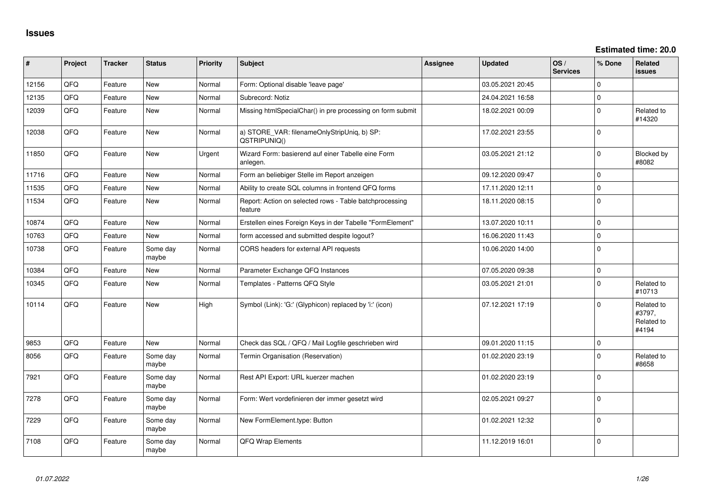**Estimated time: 20.0**

| #     | Project | <b>Tracker</b> | <b>Status</b>     | <b>Priority</b> | Subject                                                            | <b>Assignee</b> | <b>Updated</b>   | OS/<br><b>Services</b> | % Done      | Related<br><b>issues</b>                    |
|-------|---------|----------------|-------------------|-----------------|--------------------------------------------------------------------|-----------------|------------------|------------------------|-------------|---------------------------------------------|
| 12156 | QFQ     | Feature        | New               | Normal          | Form: Optional disable 'leave page'                                |                 | 03.05.2021 20:45 |                        | $\Omega$    |                                             |
| 12135 | QFQ     | Feature        | <b>New</b>        | Normal          | Subrecord: Notiz                                                   |                 | 24.04.2021 16:58 |                        | $\mathbf 0$ |                                             |
| 12039 | QFQ     | Feature        | <b>New</b>        | Normal          | Missing htmlSpecialChar() in pre processing on form submit         |                 | 18.02.2021 00:09 |                        | $\mathbf 0$ | Related to<br>#14320                        |
| 12038 | QFQ     | Feature        | <b>New</b>        | Normal          | a) STORE_VAR: filenameOnlyStripUniq, b) SP:<br>QSTRIPUNIQ()        |                 | 17.02.2021 23:55 |                        | $\Omega$    |                                             |
| 11850 | QFQ     | Feature        | New               | Urgent          | Wizard Form: basierend auf einer Tabelle eine Form<br>anlegen.     |                 | 03.05.2021 21:12 |                        | $\Omega$    | Blocked by<br>#8082                         |
| 11716 | QFQ     | Feature        | <b>New</b>        | Normal          | Form an beliebiger Stelle im Report anzeigen                       |                 | 09.12.2020 09:47 |                        | $\Omega$    |                                             |
| 11535 | QFQ     | Feature        | <b>New</b>        | Normal          | Ability to create SQL columns in frontend QFQ forms                |                 | 17.11.2020 12:11 |                        | $\mathbf 0$ |                                             |
| 11534 | QFQ     | Feature        | <b>New</b>        | Normal          | Report: Action on selected rows - Table batchprocessing<br>feature |                 | 18.11.2020 08:15 |                        | $\mathbf 0$ |                                             |
| 10874 | QFQ     | Feature        | <b>New</b>        | Normal          | Erstellen eines Foreign Keys in der Tabelle "FormElement"          |                 | 13.07.2020 10:11 |                        | $\mathbf 0$ |                                             |
| 10763 | QFQ     | Feature        | <b>New</b>        | Normal          | form accessed and submitted despite logout?                        |                 | 16.06.2020 11:43 |                        | $\Omega$    |                                             |
| 10738 | QFQ     | Feature        | Some day<br>maybe | Normal          | CORS headers for external API requests                             |                 | 10.06.2020 14:00 |                        | $\mathbf 0$ |                                             |
| 10384 | QFQ     | Feature        | <b>New</b>        | Normal          | Parameter Exchange QFQ Instances                                   |                 | 07.05.2020 09:38 |                        | $\mathbf 0$ |                                             |
| 10345 | QFQ     | Feature        | <b>New</b>        | Normal          | Templates - Patterns QFQ Style                                     |                 | 03.05.2021 21:01 |                        | $\mathbf 0$ | Related to<br>#10713                        |
| 10114 | QFQ     | Feature        | New               | High            | Symbol (Link): 'G:' (Glyphicon) replaced by 'i:' (icon)            |                 | 07.12.2021 17:19 |                        | $\Omega$    | Related to<br>#3797,<br>Related to<br>#4194 |
| 9853  | QFQ     | Feature        | <b>New</b>        | Normal          | Check das SQL / QFQ / Mail Logfile geschrieben wird                |                 | 09.01.2020 11:15 |                        | $\mathbf 0$ |                                             |
| 8056  | QFQ     | Feature        | Some day<br>maybe | Normal          | Termin Organisation (Reservation)                                  |                 | 01.02.2020 23:19 |                        | $\Omega$    | Related to<br>#8658                         |
| 7921  | QFQ     | Feature        | Some day<br>maybe | Normal          | Rest API Export: URL kuerzer machen                                |                 | 01.02.2020 23:19 |                        | $\Omega$    |                                             |
| 7278  | QFQ     | Feature        | Some day<br>maybe | Normal          | Form: Wert vordefinieren der immer gesetzt wird                    |                 | 02.05.2021 09:27 |                        | $\mathbf 0$ |                                             |
| 7229  | QFQ     | Feature        | Some day<br>maybe | Normal          | New FormElement.type: Button                                       |                 | 01.02.2021 12:32 |                        | $\Omega$    |                                             |
| 7108  | QFQ     | Feature        | Some day<br>maybe | Normal          | QFQ Wrap Elements                                                  |                 | 11.12.2019 16:01 |                        | $\Omega$    |                                             |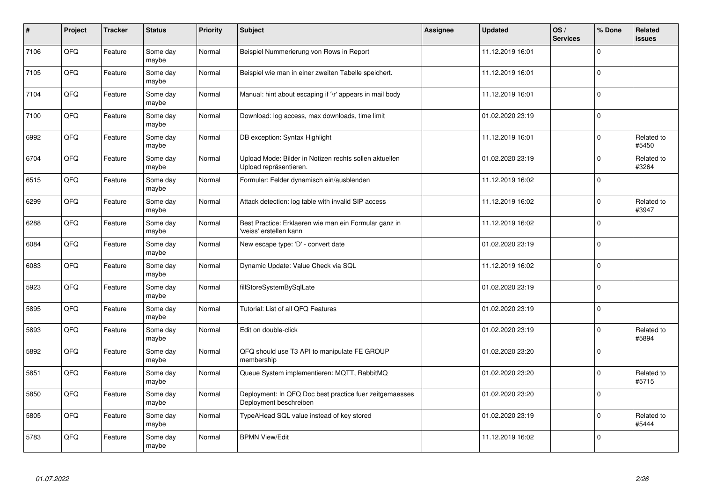| $\vert$ # | Project | <b>Tracker</b> | <b>Status</b>     | Priority | <b>Subject</b>                                                                    | <b>Assignee</b> | <b>Updated</b>   | OS/<br><b>Services</b> | % Done      | Related<br>issues   |
|-----------|---------|----------------|-------------------|----------|-----------------------------------------------------------------------------------|-----------------|------------------|------------------------|-------------|---------------------|
| 7106      | QFQ     | Feature        | Some day<br>maybe | Normal   | Beispiel Nummerierung von Rows in Report                                          |                 | 11.12.2019 16:01 |                        | $\Omega$    |                     |
| 7105      | QFQ     | Feature        | Some day<br>maybe | Normal   | Beispiel wie man in einer zweiten Tabelle speichert.                              |                 | 11.12.2019 16:01 |                        | $\mathbf 0$ |                     |
| 7104      | QFQ     | Feature        | Some day<br>maybe | Normal   | Manual: hint about escaping if '\r' appears in mail body                          |                 | 11.12.2019 16:01 |                        | $\Omega$    |                     |
| 7100      | QFQ     | Feature        | Some day<br>maybe | Normal   | Download: log access, max downloads, time limit                                   |                 | 01.02.2020 23:19 |                        | $\mathbf 0$ |                     |
| 6992      | QFQ     | Feature        | Some day<br>maybe | Normal   | DB exception: Syntax Highlight                                                    |                 | 11.12.2019 16:01 |                        | $\Omega$    | Related to<br>#5450 |
| 6704      | QFQ     | Feature        | Some day<br>maybe | Normal   | Upload Mode: Bilder in Notizen rechts sollen aktuellen<br>Upload repräsentieren.  |                 | 01.02.2020 23:19 |                        | $\mathbf 0$ | Related to<br>#3264 |
| 6515      | QFQ     | Feature        | Some day<br>maybe | Normal   | Formular: Felder dynamisch ein/ausblenden                                         |                 | 11.12.2019 16:02 |                        | $\pmb{0}$   |                     |
| 6299      | QFQ     | Feature        | Some day<br>maybe | Normal   | Attack detection: log table with invalid SIP access                               |                 | 11.12.2019 16:02 |                        | $\pmb{0}$   | Related to<br>#3947 |
| 6288      | QFQ     | Feature        | Some day<br>maybe | Normal   | Best Practice: Erklaeren wie man ein Formular ganz in<br>'weiss' erstellen kann   |                 | 11.12.2019 16:02 |                        | $\Omega$    |                     |
| 6084      | QFQ     | Feature        | Some day<br>maybe | Normal   | New escape type: 'D' - convert date                                               |                 | 01.02.2020 23:19 |                        | $\pmb{0}$   |                     |
| 6083      | QFQ     | Feature        | Some day<br>maybe | Normal   | Dynamic Update: Value Check via SQL                                               |                 | 11.12.2019 16:02 |                        | $\mathbf 0$ |                     |
| 5923      | QFQ     | Feature        | Some day<br>maybe | Normal   | fillStoreSystemBySqlLate                                                          |                 | 01.02.2020 23:19 |                        | 0           |                     |
| 5895      | QFQ     | Feature        | Some day<br>maybe | Normal   | Tutorial: List of all QFQ Features                                                |                 | 01.02.2020 23:19 |                        | $\mathbf 0$ |                     |
| 5893      | QFQ     | Feature        | Some day<br>maybe | Normal   | Edit on double-click                                                              |                 | 01.02.2020 23:19 |                        | 0           | Related to<br>#5894 |
| 5892      | QFQ     | Feature        | Some day<br>maybe | Normal   | QFQ should use T3 API to manipulate FE GROUP<br>membership                        |                 | 01.02.2020 23:20 |                        | $\mathbf 0$ |                     |
| 5851      | QFQ     | Feature        | Some day<br>maybe | Normal   | Queue System implementieren: MQTT, RabbitMQ                                       |                 | 01.02.2020 23:20 |                        | $\pmb{0}$   | Related to<br>#5715 |
| 5850      | QFQ     | Feature        | Some day<br>maybe | Normal   | Deployment: In QFQ Doc best practice fuer zeitgemaesses<br>Deployment beschreiben |                 | 01.02.2020 23:20 |                        | $\Omega$    |                     |
| 5805      | QFQ     | Feature        | Some day<br>maybe | Normal   | TypeAHead SQL value instead of key stored                                         |                 | 01.02.2020 23:19 |                        | $\pmb{0}$   | Related to<br>#5444 |
| 5783      | QFQ     | Feature        | Some day<br>maybe | Normal   | <b>BPMN View/Edit</b>                                                             |                 | 11.12.2019 16:02 |                        | $\Omega$    |                     |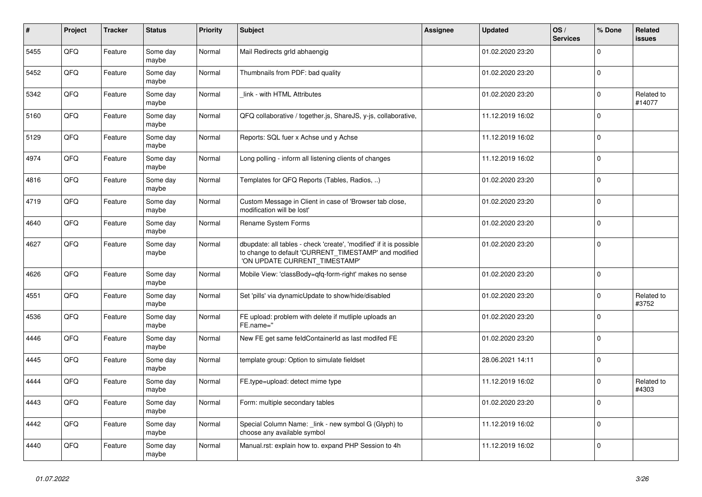| #    | Project | <b>Tracker</b> | <b>Status</b>     | <b>Priority</b> | <b>Subject</b>                                                                                                                                                | Assignee | <b>Updated</b>   | OS/<br><b>Services</b> | % Done      | Related<br><b>issues</b> |
|------|---------|----------------|-------------------|-----------------|---------------------------------------------------------------------------------------------------------------------------------------------------------------|----------|------------------|------------------------|-------------|--------------------------|
| 5455 | QFQ     | Feature        | Some day<br>maybe | Normal          | Mail Redirects grld abhaengig                                                                                                                                 |          | 01.02.2020 23:20 |                        | $\Omega$    |                          |
| 5452 | QFQ     | Feature        | Some day<br>maybe | Normal          | Thumbnails from PDF: bad quality                                                                                                                              |          | 01.02.2020 23:20 |                        | $\mathbf 0$ |                          |
| 5342 | QFQ     | Feature        | Some day<br>maybe | Normal          | link - with HTML Attributes                                                                                                                                   |          | 01.02.2020 23:20 |                        | $\mathbf 0$ | Related to<br>#14077     |
| 5160 | QFQ     | Feature        | Some day<br>maybe | Normal          | QFQ collaborative / together.js, ShareJS, y-js, collaborative,                                                                                                |          | 11.12.2019 16:02 |                        | $\Omega$    |                          |
| 5129 | QFQ     | Feature        | Some day<br>maybe | Normal          | Reports: SQL fuer x Achse und y Achse                                                                                                                         |          | 11.12.2019 16:02 |                        | $\mathbf 0$ |                          |
| 4974 | QFQ     | Feature        | Some day<br>maybe | Normal          | Long polling - inform all listening clients of changes                                                                                                        |          | 11.12.2019 16:02 |                        | $\Omega$    |                          |
| 4816 | QFQ     | Feature        | Some day<br>maybe | Normal          | Templates for QFQ Reports (Tables, Radios, )                                                                                                                  |          | 01.02.2020 23:20 |                        | $\Omega$    |                          |
| 4719 | QFQ     | Feature        | Some day<br>maybe | Normal          | Custom Message in Client in case of 'Browser tab close,<br>modification will be lost'                                                                         |          | 01.02.2020 23:20 |                        | $\mathbf 0$ |                          |
| 4640 | QFQ     | Feature        | Some day<br>maybe | Normal          | Rename System Forms                                                                                                                                           |          | 01.02.2020 23:20 |                        | $\Omega$    |                          |
| 4627 | QFQ     | Feature        | Some day<br>maybe | Normal          | dbupdate: all tables - check 'create', 'modified' if it is possible<br>to change to default 'CURRENT_TIMESTAMP' and modified<br>'ON UPDATE CURRENT_TIMESTAMP' |          | 01.02.2020 23:20 |                        | $\mathbf 0$ |                          |
| 4626 | QFQ     | Feature        | Some day<br>maybe | Normal          | Mobile View: 'classBody=qfq-form-right' makes no sense                                                                                                        |          | 01.02.2020 23:20 |                        | $\Omega$    |                          |
| 4551 | QFQ     | Feature        | Some day<br>maybe | Normal          | Set 'pills' via dynamicUpdate to show/hide/disabled                                                                                                           |          | 01.02.2020 23:20 |                        | $\Omega$    | Related to<br>#3752      |
| 4536 | QFQ     | Feature        | Some day<br>maybe | Normal          | FE upload: problem with delete if mutliple uploads an<br>FE.name="                                                                                            |          | 01.02.2020 23:20 |                        | $\mathbf 0$ |                          |
| 4446 | QFQ     | Feature        | Some day<br>maybe | Normal          | New FE get same feldContainerId as last modifed FE                                                                                                            |          | 01.02.2020 23:20 |                        | $\Omega$    |                          |
| 4445 | QFQ     | Feature        | Some day<br>maybe | Normal          | template group: Option to simulate fieldset                                                                                                                   |          | 28.06.2021 14:11 |                        | $\mathbf 0$ |                          |
| 4444 | QFQ     | Feature        | Some day<br>maybe | Normal          | FE.type=upload: detect mime type                                                                                                                              |          | 11.12.2019 16:02 |                        | $\Omega$    | Related to<br>#4303      |
| 4443 | QFQ     | Feature        | Some day<br>maybe | Normal          | Form: multiple secondary tables                                                                                                                               |          | 01.02.2020 23:20 |                        | $\Omega$    |                          |
| 4442 | QFQ     | Feature        | Some day<br>maybe | Normal          | Special Column Name: _link - new symbol G (Glyph) to<br>choose any available symbol                                                                           |          | 11.12.2019 16:02 |                        | $\Omega$    |                          |
| 4440 | QFQ     | Feature        | Some day<br>maybe | Normal          | Manual.rst: explain how to. expand PHP Session to 4h                                                                                                          |          | 11.12.2019 16:02 |                        | $\mathbf 0$ |                          |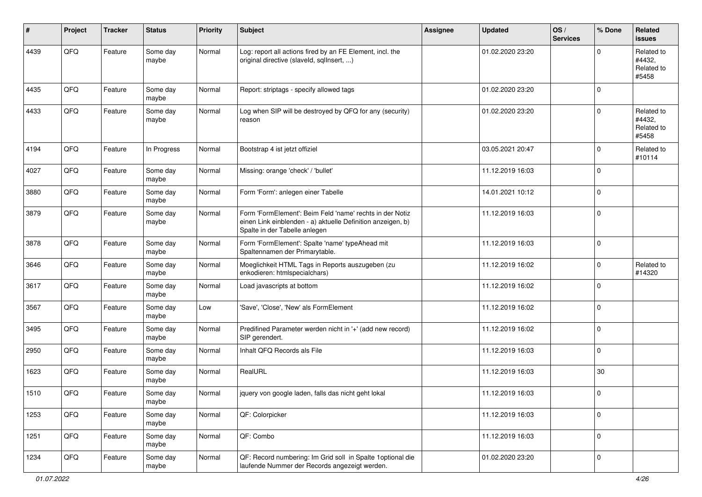| #    | Project | <b>Tracker</b> | <b>Status</b>     | <b>Priority</b> | <b>Subject</b>                                                                                                                                           | Assignee | <b>Updated</b>   | OS/<br><b>Services</b> | % Done      | Related<br><b>issues</b>                    |
|------|---------|----------------|-------------------|-----------------|----------------------------------------------------------------------------------------------------------------------------------------------------------|----------|------------------|------------------------|-------------|---------------------------------------------|
| 4439 | QFQ     | Feature        | Some day<br>maybe | Normal          | Log: report all actions fired by an FE Element, incl. the<br>original directive (slaveld, sqlInsert, )                                                   |          | 01.02.2020 23:20 |                        | $\Omega$    | Related to<br>#4432.<br>Related to<br>#5458 |
| 4435 | QFQ     | Feature        | Some day<br>maybe | Normal          | Report: striptags - specify allowed tags                                                                                                                 |          | 01.02.2020 23:20 |                        | $\mathbf 0$ |                                             |
| 4433 | QFQ     | Feature        | Some day<br>maybe | Normal          | Log when SIP will be destroyed by QFQ for any (security)<br>reason                                                                                       |          | 01.02.2020 23:20 |                        | $\mathbf 0$ | Related to<br>#4432,<br>Related to<br>#5458 |
| 4194 | QFQ     | Feature        | In Progress       | Normal          | Bootstrap 4 ist jetzt offiziel                                                                                                                           |          | 03.05.2021 20:47 |                        | $\mathbf 0$ | Related to<br>#10114                        |
| 4027 | QFQ     | Feature        | Some day<br>maybe | Normal          | Missing: orange 'check' / 'bullet'                                                                                                                       |          | 11.12.2019 16:03 |                        | 0           |                                             |
| 3880 | QFQ     | Feature        | Some day<br>maybe | Normal          | Form 'Form': anlegen einer Tabelle                                                                                                                       |          | 14.01.2021 10:12 |                        | $\pmb{0}$   |                                             |
| 3879 | QFQ     | Feature        | Some day<br>maybe | Normal          | Form 'FormElement': Beim Feld 'name' rechts in der Notiz<br>einen Link einblenden - a) aktuelle Definition anzeigen, b)<br>Spalte in der Tabelle anlegen |          | 11.12.2019 16:03 |                        | $\pmb{0}$   |                                             |
| 3878 | QFQ     | Feature        | Some day<br>maybe | Normal          | Form 'FormElement': Spalte 'name' typeAhead mit<br>Spaltennamen der Primarytable.                                                                        |          | 11.12.2019 16:03 |                        | $\mathbf 0$ |                                             |
| 3646 | QFQ     | Feature        | Some day<br>maybe | Normal          | Moeglichkeit HTML Tags in Reports auszugeben (zu<br>enkodieren: htmlspecialchars)                                                                        |          | 11.12.2019 16:02 |                        | 0           | Related to<br>#14320                        |
| 3617 | QFQ     | Feature        | Some day<br>maybe | Normal          | Load javascripts at bottom                                                                                                                               |          | 11.12.2019 16:02 |                        | $\mathbf 0$ |                                             |
| 3567 | QFQ     | Feature        | Some day<br>maybe | Low             | 'Save', 'Close', 'New' als FormElement                                                                                                                   |          | 11.12.2019 16:02 |                        | $\mathbf 0$ |                                             |
| 3495 | QFQ     | Feature        | Some day<br>maybe | Normal          | Predifined Parameter werden nicht in '+' (add new record)<br>SIP gerendert.                                                                              |          | 11.12.2019 16:02 |                        | $\mathbf 0$ |                                             |
| 2950 | QFQ     | Feature        | Some day<br>maybe | Normal          | Inhalt QFQ Records als File                                                                                                                              |          | 11.12.2019 16:03 |                        | $\pmb{0}$   |                                             |
| 1623 | QFQ     | Feature        | Some day<br>maybe | Normal          | RealURL                                                                                                                                                  |          | 11.12.2019 16:03 |                        | $30\,$      |                                             |
| 1510 | QFQ     | Feature        | Some day<br>maybe | Normal          | jquery von google laden, falls das nicht geht lokal                                                                                                      |          | 11.12.2019 16:03 |                        | $\mathbf 0$ |                                             |
| 1253 | QFQ     | Feature        | Some day<br>maybe | Normal          | QF: Colorpicker                                                                                                                                          |          | 11.12.2019 16:03 |                        | $\mathbf 0$ |                                             |
| 1251 | QFQ     | Feature        | Some day<br>maybe | Normal          | QF: Combo                                                                                                                                                |          | 11.12.2019 16:03 |                        | $\mathbf 0$ |                                             |
| 1234 | QFG     | Feature        | Some day<br>maybe | Normal          | QF: Record numbering: Im Grid soll in Spalte 1optional die<br>laufende Nummer der Records angezeigt werden.                                              |          | 01.02.2020 23:20 |                        | 0           |                                             |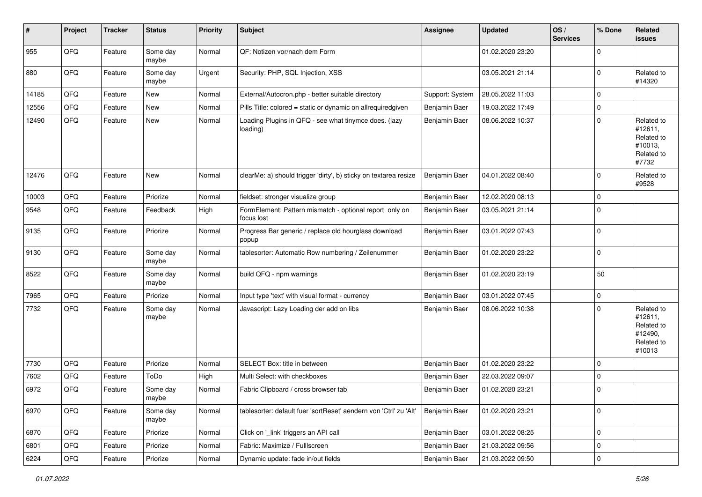| #     | Project | <b>Tracker</b> | <b>Status</b>     | <b>Priority</b> | Subject                                                               | <b>Assignee</b> | <b>Updated</b>   | OS/<br><b>Services</b> | % Done      | Related<br>issues                                                      |
|-------|---------|----------------|-------------------|-----------------|-----------------------------------------------------------------------|-----------------|------------------|------------------------|-------------|------------------------------------------------------------------------|
| 955   | QFQ     | Feature        | Some day<br>maybe | Normal          | QF: Notizen vor/nach dem Form                                         |                 | 01.02.2020 23:20 |                        | $\mathbf 0$ |                                                                        |
| 880   | QFQ     | Feature        | Some day<br>maybe | Urgent          | Security: PHP, SQL Injection, XSS                                     |                 | 03.05.2021 21:14 |                        | $\mathbf 0$ | Related to<br>#14320                                                   |
| 14185 | QFQ     | Feature        | New               | Normal          | External/Autocron.php - better suitable directory                     | Support: System | 28.05.2022 11:03 |                        | $\pmb{0}$   |                                                                        |
| 12556 | QFQ     | Feature        | <b>New</b>        | Normal          | Pills Title: colored = static or dynamic on allrequiredgiven          | Benjamin Baer   | 19.03.2022 17:49 |                        | $\pmb{0}$   |                                                                        |
| 12490 | QFQ     | Feature        | <b>New</b>        | Normal          | Loading Plugins in QFQ - see what tinymce does. (lazy<br>loading)     | Benjamin Baer   | 08.06.2022 10:37 |                        | $\pmb{0}$   | Related to<br>#12611,<br>Related to<br>#10013,<br>Related to<br>#7732  |
| 12476 | QFQ     | Feature        | <b>New</b>        | Normal          | clearMe: a) should trigger 'dirty', b) sticky on textarea resize      | Benjamin Baer   | 04.01.2022 08:40 |                        | 0           | Related to<br>#9528                                                    |
| 10003 | QFQ     | Feature        | Priorize          | Normal          | fieldset: stronger visualize group                                    | Benjamin Baer   | 12.02.2020 08:13 |                        | $\mathbf 0$ |                                                                        |
| 9548  | QFQ     | Feature        | Feedback          | High            | FormElement: Pattern mismatch - optional report only on<br>focus lost | Benjamin Baer   | 03.05.2021 21:14 |                        | $\pmb{0}$   |                                                                        |
| 9135  | QFQ     | Feature        | Priorize          | Normal          | Progress Bar generic / replace old hourglass download<br>popup        | Benjamin Baer   | 03.01.2022 07:43 |                        | $\pmb{0}$   |                                                                        |
| 9130  | QFQ     | Feature        | Some day<br>maybe | Normal          | tablesorter: Automatic Row numbering / Zeilenummer                    | Benjamin Baer   | 01.02.2020 23:22 |                        | $\pmb{0}$   |                                                                        |
| 8522  | QFQ     | Feature        | Some day<br>maybe | Normal          | build QFQ - npm warnings                                              | Benjamin Baer   | 01.02.2020 23:19 |                        | 50          |                                                                        |
| 7965  | QFQ     | Feature        | Priorize          | Normal          | Input type 'text' with visual format - currency                       | Benjamin Baer   | 03.01.2022 07:45 |                        | 0           |                                                                        |
| 7732  | QFQ     | Feature        | Some day<br>maybe | Normal          | Javascript: Lazy Loading der add on libs                              | Benjamin Baer   | 08.06.2022 10:38 |                        | $\mathbf 0$ | Related to<br>#12611,<br>Related to<br>#12490,<br>Related to<br>#10013 |
| 7730  | QFQ     | Feature        | Priorize          | Normal          | SELECT Box: title in between                                          | Benjamin Baer   | 01.02.2020 23:22 |                        | $\pmb{0}$   |                                                                        |
| 7602  | QFQ     | Feature        | ToDo              | High            | Multi Select: with checkboxes                                         | Benjamin Baer   | 22.03.2022 09:07 |                        | 0           |                                                                        |
| 6972  | QFQ     | Feature        | Some day<br>maybe | Normal          | Fabric Clipboard / cross browser tab                                  | Benjamin Baer   | 01.02.2020 23:21 |                        | $\pmb{0}$   |                                                                        |
| 6970  | QFQ     | Feature        | Some day<br>maybe | Normal          | tablesorter: default fuer 'sortReset' aendern von 'Ctrl' zu 'Alt'     | Benjamin Baer   | 01.02.2020 23:21 |                        | $\mathbf 0$ |                                                                        |
| 6870  | QFQ     | Feature        | Priorize          | Normal          | Click on '_link' triggers an API call                                 | Benjamin Baer   | 03.01.2022 08:25 |                        | $\pmb{0}$   |                                                                        |
| 6801  | QFQ     | Feature        | Priorize          | Normal          | Fabric: Maximize / Fulllscreen                                        | Benjamin Baer   | 21.03.2022 09:56 |                        | 0           |                                                                        |
| 6224  | QFQ     | Feature        | Priorize          | Normal          | Dynamic update: fade in/out fields                                    | Benjamin Baer   | 21.03.2022 09:50 |                        | $\pmb{0}$   |                                                                        |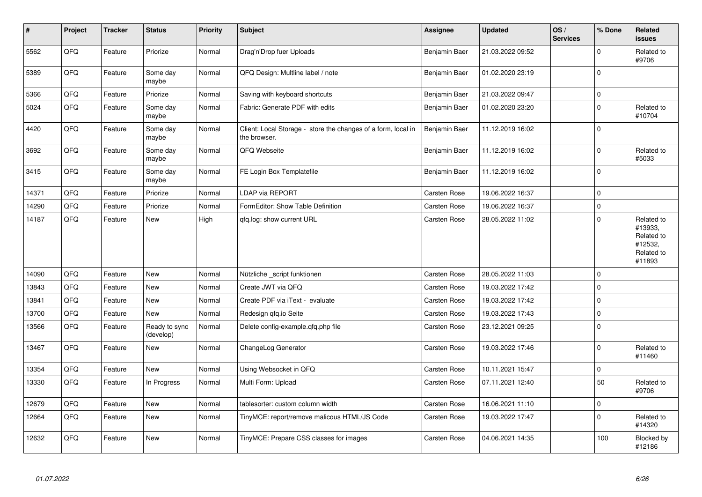| $\sharp$ | Project | <b>Tracker</b> | <b>Status</b>              | <b>Priority</b> | Subject                                                                       | <b>Assignee</b>     | <b>Updated</b>   | OS/<br><b>Services</b> | % Done      | Related<br>issues                                                      |
|----------|---------|----------------|----------------------------|-----------------|-------------------------------------------------------------------------------|---------------------|------------------|------------------------|-------------|------------------------------------------------------------------------|
| 5562     | QFQ     | Feature        | Priorize                   | Normal          | Drag'n'Drop fuer Uploads                                                      | Benjamin Baer       | 21.03.2022 09:52 |                        | $\Omega$    | Related to<br>#9706                                                    |
| 5389     | QFQ     | Feature        | Some day<br>maybe          | Normal          | QFQ Design: Multline label / note                                             | Benjamin Baer       | 01.02.2020 23:19 |                        | 0           |                                                                        |
| 5366     | QFQ     | Feature        | Priorize                   | Normal          | Saving with keyboard shortcuts                                                | Benjamin Baer       | 21.03.2022 09:47 |                        | 0           |                                                                        |
| 5024     | QFQ     | Feature        | Some day<br>maybe          | Normal          | Fabric: Generate PDF with edits                                               | Benjamin Baer       | 01.02.2020 23:20 |                        | 0           | Related to<br>#10704                                                   |
| 4420     | QFQ     | Feature        | Some day<br>maybe          | Normal          | Client: Local Storage - store the changes of a form, local in<br>the browser. | Benjamin Baer       | 11.12.2019 16:02 |                        | 0           |                                                                        |
| 3692     | QFQ     | Feature        | Some day<br>maybe          | Normal          | QFQ Webseite                                                                  | Benjamin Baer       | 11.12.2019 16:02 |                        | 0           | Related to<br>#5033                                                    |
| 3415     | QFQ     | Feature        | Some day<br>maybe          | Normal          | FE Login Box Templatefile                                                     | Benjamin Baer       | 11.12.2019 16:02 |                        | $\Omega$    |                                                                        |
| 14371    | QFQ     | Feature        | Priorize                   | Normal          | LDAP via REPORT                                                               | Carsten Rose        | 19.06.2022 16:37 |                        | 0           |                                                                        |
| 14290    | QFQ     | Feature        | Priorize                   | Normal          | FormEditor: Show Table Definition                                             | Carsten Rose        | 19.06.2022 16:37 |                        | $\mathbf 0$ |                                                                        |
| 14187    | QFQ     | Feature        | <b>New</b>                 | High            | qfq.log: show current URL                                                     | <b>Carsten Rose</b> | 28.05.2022 11:02 |                        | $\mathbf 0$ | Related to<br>#13933,<br>Related to<br>#12532,<br>Related to<br>#11893 |
| 14090    | QFQ     | Feature        | <b>New</b>                 | Normal          | Nützliche _script funktionen                                                  | Carsten Rose        | 28.05.2022 11:03 |                        | $\Omega$    |                                                                        |
| 13843    | QFQ     | Feature        | <b>New</b>                 | Normal          | Create JWT via QFQ                                                            | Carsten Rose        | 19.03.2022 17:42 |                        | $\Omega$    |                                                                        |
| 13841    | QFQ     | Feature        | New                        | Normal          | Create PDF via iText - evaluate                                               | Carsten Rose        | 19.03.2022 17:42 |                        | $\mathbf 0$ |                                                                        |
| 13700    | QFQ     | Feature        | New                        | Normal          | Redesign gfg.io Seite                                                         | Carsten Rose        | 19.03.2022 17:43 |                        | 0           |                                                                        |
| 13566    | QFQ     | Feature        | Ready to sync<br>(develop) | Normal          | Delete config-example.qfq.php file                                            | <b>Carsten Rose</b> | 23.12.2021 09:25 |                        | $\Omega$    |                                                                        |
| 13467    | QFQ     | Feature        | New                        | Normal          | ChangeLog Generator                                                           | <b>Carsten Rose</b> | 19.03.2022 17:46 |                        | 0           | Related to<br>#11460                                                   |
| 13354    | QFQ     | Feature        | New                        | Normal          | Using Websocket in QFQ                                                        | Carsten Rose        | 10.11.2021 15:47 |                        | $\pmb{0}$   |                                                                        |
| 13330    | QFQ     | Feature        | In Progress                | Normal          | Multi Form: Upload                                                            | <b>Carsten Rose</b> | 07.11.2021 12:40 |                        | 50          | Related to<br>#9706                                                    |
| 12679    | QFQ     | Feature        | New                        | Normal          | tablesorter: custom column width                                              | <b>Carsten Rose</b> | 16.06.2021 11:10 |                        | $\pmb{0}$   |                                                                        |
| 12664    | QFQ     | Feature        | New                        | Normal          | TinyMCE: report/remove malicous HTML/JS Code                                  | <b>Carsten Rose</b> | 19.03.2022 17:47 |                        | 0           | Related to<br>#14320                                                   |
| 12632    | QFQ     | Feature        | New                        | Normal          | TinyMCE: Prepare CSS classes for images                                       | <b>Carsten Rose</b> | 04.06.2021 14:35 |                        | 100         | Blocked by<br>#12186                                                   |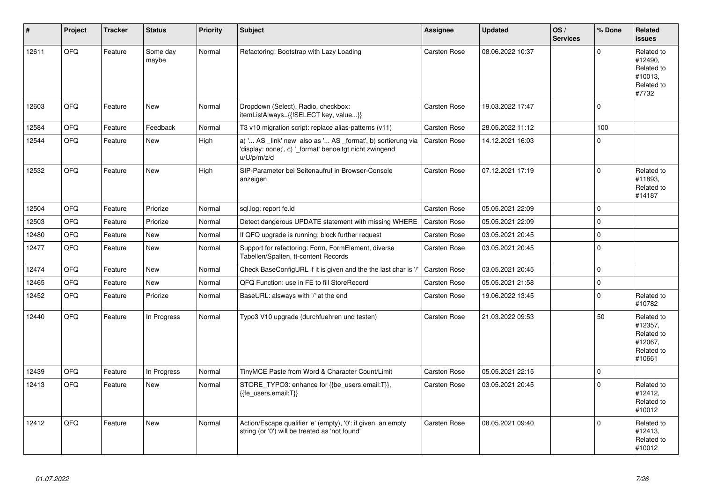| $\vert$ # | Project | <b>Tracker</b> | <b>Status</b>     | <b>Priority</b> | <b>Subject</b>                                                                                                                        | Assignee            | <b>Updated</b>   | OS/<br><b>Services</b> | % Done      | Related<br><b>issues</b>                                               |
|-----------|---------|----------------|-------------------|-----------------|---------------------------------------------------------------------------------------------------------------------------------------|---------------------|------------------|------------------------|-------------|------------------------------------------------------------------------|
| 12611     | QFQ     | Feature        | Some day<br>maybe | Normal          | Refactoring: Bootstrap with Lazy Loading                                                                                              | Carsten Rose        | 08.06.2022 10:37 |                        | $\Omega$    | Related to<br>#12490.<br>Related to<br>#10013.<br>Related to<br>#7732  |
| 12603     | QFQ     | Feature        | New               | Normal          | Dropdown (Select), Radio, checkbox:<br>itemListAlways={{!SELECT key, value}}                                                          | Carsten Rose        | 19.03.2022 17:47 |                        | $\Omega$    |                                                                        |
| 12584     | QFQ     | Feature        | Feedback          | Normal          | T3 v10 migration script: replace alias-patterns (v11)                                                                                 | Carsten Rose        | 28.05.2022 11:12 |                        | 100         |                                                                        |
| 12544     | QFQ     | Feature        | New               | High            | a) ' AS _link' new also as ' AS _format', b) sortierung via<br>'display: none;', c) '_format' benoeitgt nicht zwingend<br>u/U/p/m/z/d | Carsten Rose        | 14.12.2021 16:03 |                        | $\Omega$    |                                                                        |
| 12532     | QFQ     | Feature        | <b>New</b>        | High            | SIP-Parameter bei Seitenaufruf in Browser-Console<br>anzeigen                                                                         | <b>Carsten Rose</b> | 07.12.2021 17:19 |                        | $\Omega$    | Related to<br>#11893,<br>Related to<br>#14187                          |
| 12504     | QFQ     | Feature        | Priorize          | Normal          | sql.log: report fe.id                                                                                                                 | Carsten Rose        | 05.05.2021 22:09 |                        | $\Omega$    |                                                                        |
| 12503     | QFQ     | Feature        | Priorize          | Normal          | Detect dangerous UPDATE statement with missing WHERE                                                                                  | Carsten Rose        | 05.05.2021 22:09 |                        | $\Omega$    |                                                                        |
| 12480     | QFQ     | Feature        | <b>New</b>        | Normal          | If QFQ upgrade is running, block further request                                                                                      | Carsten Rose        | 03.05.2021 20:45 |                        | $\Omega$    |                                                                        |
| 12477     | QFQ     | Feature        | <b>New</b>        | Normal          | Support for refactoring: Form, FormElement, diverse<br>Tabellen/Spalten, tt-content Records                                           | Carsten Rose        | 03.05.2021 20:45 |                        | $\Omega$    |                                                                        |
| 12474     | QFQ     | Feature        | <b>New</b>        | Normal          | Check BaseConfigURL if it is given and the the last char is '/'                                                                       | <b>Carsten Rose</b> | 03.05.2021 20:45 |                        | $\Omega$    |                                                                        |
| 12465     | QFQ     | Feature        | New               | Normal          | QFQ Function: use in FE to fill StoreRecord                                                                                           | Carsten Rose        | 05.05.2021 21:58 |                        | 0           |                                                                        |
| 12452     | QFQ     | Feature        | Priorize          | Normal          | BaseURL: alsways with '/' at the end                                                                                                  | Carsten Rose        | 19.06.2022 13:45 |                        | $\Omega$    | Related to<br>#10782                                                   |
| 12440     | QFQ     | Feature        | In Progress       | Normal          | Typo3 V10 upgrade (durchfuehren und testen)                                                                                           | Carsten Rose        | 21.03.2022 09:53 |                        | 50          | Related to<br>#12357,<br>Related to<br>#12067.<br>Related to<br>#10661 |
| 12439     | QFQ     | Feature        | In Progress       | Normal          | TinyMCE Paste from Word & Character Count/Limit                                                                                       | Carsten Rose        | 05.05.2021 22:15 |                        | $\mathbf 0$ |                                                                        |
| 12413     | QFQ     | Feature        | <b>New</b>        | Normal          | STORE_TYPO3: enhance for {{be_users.email:T}},<br>{{fe users.email:T}}                                                                | Carsten Rose        | 03.05.2021 20:45 |                        | $\Omega$    | Related to<br>#12412,<br>Related to<br>#10012                          |
| 12412     | QFQ     | Feature        | <b>New</b>        | Normal          | Action/Escape qualifier 'e' (empty), '0': if given, an empty<br>string (or '0') will be treated as 'not found'                        | Carsten Rose        | 08.05.2021 09:40 |                        | $\Omega$    | Related to<br>#12413,<br>Related to<br>#10012                          |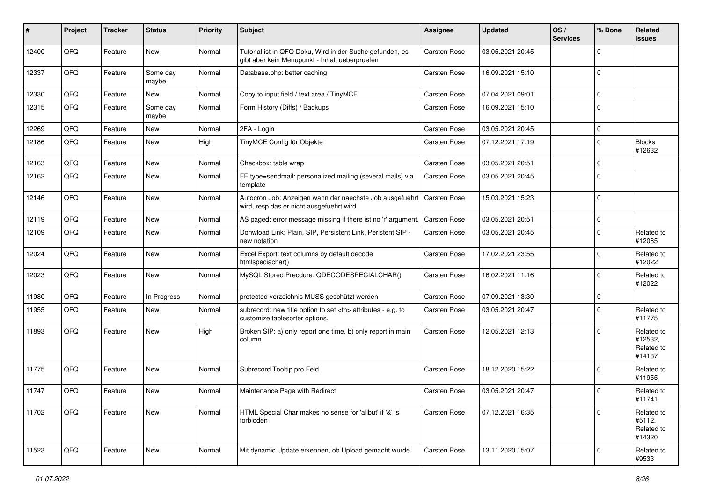| ∦     | Project | <b>Tracker</b> | <b>Status</b>     | <b>Priority</b> | Subject                                                                                                    | <b>Assignee</b>                                        | <b>Updated</b>      | OS/<br><b>Services</b> | % Done      | Related<br>issues                             |                      |
|-------|---------|----------------|-------------------|-----------------|------------------------------------------------------------------------------------------------------------|--------------------------------------------------------|---------------------|------------------------|-------------|-----------------------------------------------|----------------------|
| 12400 | QFQ     | Feature        | New               | Normal          | Tutorial ist in QFQ Doku, Wird in der Suche gefunden, es<br>gibt aber kein Menupunkt - Inhalt ueberpruefen | Carsten Rose                                           | 03.05.2021 20:45    |                        | $\Omega$    |                                               |                      |
| 12337 | QFQ     | Feature        | Some day<br>maybe | Normal          | Database.php: better caching                                                                               | Carsten Rose                                           | 16.09.2021 15:10    |                        | $\Omega$    |                                               |                      |
| 12330 | QFQ     | Feature        | New               | Normal          | Copy to input field / text area / TinyMCE                                                                  | <b>Carsten Rose</b>                                    | 07.04.2021 09:01    |                        | $\mathbf 0$ |                                               |                      |
| 12315 | QFQ     | Feature        | Some day<br>maybe | Normal          | Form History (Diffs) / Backups                                                                             | <b>Carsten Rose</b>                                    | 16.09.2021 15:10    |                        | $\Omega$    |                                               |                      |
| 12269 | QFQ     | Feature        | New               | Normal          | 2FA - Login                                                                                                | <b>Carsten Rose</b>                                    | 03.05.2021 20:45    |                        | $\Omega$    |                                               |                      |
| 12186 | QFQ     | Feature        | New               | High            | TinyMCE Config für Objekte                                                                                 | Carsten Rose                                           | 07.12.2021 17:19    |                        | $\Omega$    | <b>Blocks</b><br>#12632                       |                      |
| 12163 | QFQ     | Feature        | New               | Normal          | Checkbox: table wrap                                                                                       | Carsten Rose                                           | 03.05.2021 20:51    |                        | $\Omega$    |                                               |                      |
| 12162 | QFQ     | Feature        | New               | Normal          | FE.type=sendmail: personalized mailing (several mails) via<br>template                                     | Carsten Rose                                           | 03.05.2021 20:45    |                        | $\Omega$    |                                               |                      |
| 12146 | QFQ     | Feature        | New               | Normal          | Autocron Job: Anzeigen wann der naechste Job ausgefuehrt<br>wird, resp das er nicht ausgefuehrt wird       | <b>Carsten Rose</b>                                    | 15.03.2021 15:23    |                        | $\Omega$    |                                               |                      |
| 12119 | QFQ     | Feature        | <b>New</b>        | Normal          | AS paged: error message missing if there ist no 'r' argument.                                              | <b>Carsten Rose</b>                                    | 03.05.2021 20:51    |                        | $\mathbf 0$ |                                               |                      |
| 12109 | QFQ     | Feature        | New               | Normal          | Donwload Link: Plain, SIP, Persistent Link, Peristent SIP -<br>new notation                                | Carsten Rose                                           | 03.05.2021 20:45    |                        | $\Omega$    | Related to<br>#12085                          |                      |
| 12024 | QFQ     | Feature        | New               | Normal          | Excel Export: text columns by default decode<br>htmlspeciachar()                                           | Carsten Rose                                           | 17.02.2021 23:55    |                        | $\Omega$    | Related to<br>#12022                          |                      |
| 12023 | QFQ     | Feature        | New               | Normal          | MySQL Stored Precdure: QDECODESPECIALCHAR()                                                                | Carsten Rose                                           | 16.02.2021 11:16    |                        | $\mathbf 0$ | Related to<br>#12022                          |                      |
| 11980 | QFQ     | Feature        | In Progress       | Normal          | protected verzeichnis MUSS geschützt werden                                                                | Carsten Rose                                           | 07.09.2021 13:30    |                        | $\mathbf 0$ |                                               |                      |
| 11955 | QFQ     | Feature        | New               | Normal          | subrecord: new title option to set <th> attributes - e.g. to<br/>customize tablesorter options.</th>       | attributes - e.g. to<br>customize tablesorter options. | <b>Carsten Rose</b> | 03.05.2021 20:47       |             | $\mathbf 0$                                   | Related to<br>#11775 |
| 11893 | QFQ     | Feature        | New               | High            | Broken SIP: a) only report one time, b) only report in main<br>column                                      | Carsten Rose                                           | 12.05.2021 12:13    |                        | $\Omega$    | Related to<br>#12532,<br>Related to<br>#14187 |                      |
| 11775 | QFQ     | Feature        | New               | Normal          | Subrecord Tooltip pro Feld                                                                                 | <b>Carsten Rose</b>                                    | 18.12.2020 15:22    |                        | $\Omega$    | Related to<br>#11955                          |                      |
| 11747 | QFQ     | Feature        | New               | Normal          | Maintenance Page with Redirect                                                                             | Carsten Rose                                           | 03.05.2021 20:47    |                        | $\Omega$    | Related to<br>#11741                          |                      |
| 11702 | QFQ     | Feature        | New               | Normal          | HTML Special Char makes no sense for 'allbut' if '&' is<br>forbidden                                       | <b>Carsten Rose</b>                                    | 07.12.2021 16:35    |                        | $\mathbf 0$ | Related to<br>#5112,<br>Related to<br>#14320  |                      |
| 11523 | QFQ     | Feature        | New               | Normal          | Mit dynamic Update erkennen, ob Upload gemacht wurde                                                       | Carsten Rose                                           | 13.11.2020 15:07    |                        | 0           | Related to<br>#9533                           |                      |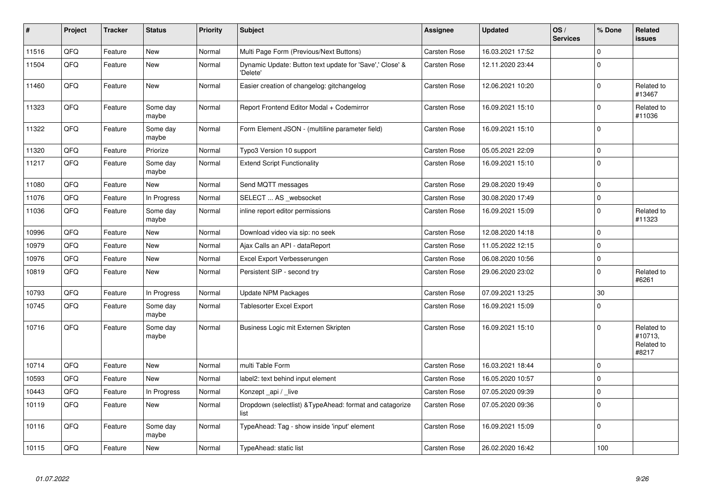| $\vert$ # | Project | <b>Tracker</b> | <b>Status</b>     | Priority | <b>Subject</b>                                                       | Assignee            | <b>Updated</b>   | OS/<br><b>Services</b> | % Done      | Related<br><b>issues</b>                     |
|-----------|---------|----------------|-------------------|----------|----------------------------------------------------------------------|---------------------|------------------|------------------------|-------------|----------------------------------------------|
| 11516     | QFQ     | Feature        | <b>New</b>        | Normal   | Multi Page Form (Previous/Next Buttons)                              | <b>Carsten Rose</b> | 16.03.2021 17:52 |                        | $\mathbf 0$ |                                              |
| 11504     | QFQ     | Feature        | New               | Normal   | Dynamic Update: Button text update for 'Save',' Close' &<br>'Delete' | <b>Carsten Rose</b> | 12.11.2020 23:44 |                        | $\Omega$    |                                              |
| 11460     | QFQ     | Feature        | New               | Normal   | Easier creation of changelog: gitchangelog                           | Carsten Rose        | 12.06.2021 10:20 |                        | $\mathbf 0$ | Related to<br>#13467                         |
| 11323     | QFQ     | Feature        | Some day<br>maybe | Normal   | Report Frontend Editor Modal + Codemirror                            | Carsten Rose        | 16.09.2021 15:10 |                        | $\mathbf 0$ | Related to<br>#11036                         |
| 11322     | QFQ     | Feature        | Some day<br>maybe | Normal   | Form Element JSON - (multiline parameter field)                      | Carsten Rose        | 16.09.2021 15:10 |                        | $\mathbf 0$ |                                              |
| 11320     | QFQ     | Feature        | Priorize          | Normal   | Typo3 Version 10 support                                             | Carsten Rose        | 05.05.2021 22:09 |                        | $\mathbf 0$ |                                              |
| 11217     | QFQ     | Feature        | Some day<br>maybe | Normal   | <b>Extend Script Functionality</b>                                   | Carsten Rose        | 16.09.2021 15:10 |                        | $\mathbf 0$ |                                              |
| 11080     | QFQ     | Feature        | New               | Normal   | Send MQTT messages                                                   | Carsten Rose        | 29.08.2020 19:49 |                        | $\mathbf 0$ |                                              |
| 11076     | QFQ     | Feature        | In Progress       | Normal   | SELECT  AS _websocket                                                | Carsten Rose        | 30.08.2020 17:49 |                        | $\mathbf 0$ |                                              |
| 11036     | QFQ     | Feature        | Some day<br>maybe | Normal   | inline report editor permissions                                     | Carsten Rose        | 16.09.2021 15:09 |                        | $\mathbf 0$ | Related to<br>#11323                         |
| 10996     | QFQ     | Feature        | <b>New</b>        | Normal   | Download video via sip: no seek                                      | Carsten Rose        | 12.08.2020 14:18 |                        | $\mathbf 0$ |                                              |
| 10979     | QFQ     | Feature        | New               | Normal   | Ajax Calls an API - dataReport                                       | Carsten Rose        | 11.05.2022 12:15 |                        | $\Omega$    |                                              |
| 10976     | QFQ     | Feature        | <b>New</b>        | Normal   | Excel Export Verbesserungen                                          | Carsten Rose        | 06.08.2020 10:56 |                        | $\mathbf 0$ |                                              |
| 10819     | QFQ     | Feature        | <b>New</b>        | Normal   | Persistent SIP - second try                                          | Carsten Rose        | 29.06.2020 23:02 |                        | $\Omega$    | Related to<br>#6261                          |
| 10793     | QFQ     | Feature        | In Progress       | Normal   | <b>Update NPM Packages</b>                                           | <b>Carsten Rose</b> | 07.09.2021 13:25 |                        | 30          |                                              |
| 10745     | QFQ     | Feature        | Some day<br>maybe | Normal   | Tablesorter Excel Export                                             | Carsten Rose        | 16.09.2021 15:09 |                        | $\Omega$    |                                              |
| 10716     | QFQ     | Feature        | Some day<br>maybe | Normal   | Business Logic mit Externen Skripten                                 | Carsten Rose        | 16.09.2021 15:10 |                        | $\mathbf 0$ | Related to<br>#10713.<br>Related to<br>#8217 |
| 10714     | QFQ     | Feature        | New               | Normal   | multi Table Form                                                     | <b>Carsten Rose</b> | 16.03.2021 18:44 |                        | $\mathbf 0$ |                                              |
| 10593     | QFQ     | Feature        | New               | Normal   | label2: text behind input element                                    | Carsten Rose        | 16.05.2020 10:57 |                        | $\mathbf 0$ |                                              |
| 10443     | QFQ     | Feature        | In Progress       | Normal   | Konzept_api / _live                                                  | Carsten Rose        | 07.05.2020 09:39 |                        | $\pmb{0}$   |                                              |
| 10119     | QFQ     | Feature        | <b>New</b>        | Normal   | Dropdown (selectlist) & Type Ahead: format and catagorize<br>list    | Carsten Rose        | 07.05.2020 09:36 |                        | $\mathbf 0$ |                                              |
| 10116     | QFQ     | Feature        | Some day<br>maybe | Normal   | TypeAhead: Tag - show inside 'input' element                         | Carsten Rose        | 16.09.2021 15:09 |                        | $\mathbf 0$ |                                              |
| 10115     | QFQ     | Feature        | New               | Normal   | TypeAhead: static list                                               | <b>Carsten Rose</b> | 26.02.2020 16:42 |                        | 100         |                                              |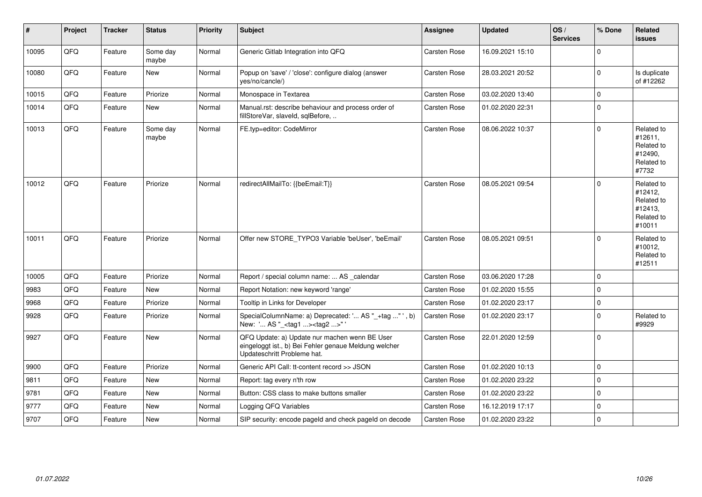| $\vert$ # | Project | <b>Tracker</b> | <b>Status</b>     | Priority | <b>Subject</b>                                                                                                                        | <b>Assignee</b>     | <b>Updated</b>   | OS/<br><b>Services</b> | % Done      | Related<br><b>issues</b>                                               |
|-----------|---------|----------------|-------------------|----------|---------------------------------------------------------------------------------------------------------------------------------------|---------------------|------------------|------------------------|-------------|------------------------------------------------------------------------|
| 10095     | QFQ     | Feature        | Some day<br>maybe | Normal   | Generic Gitlab Integration into QFQ                                                                                                   | Carsten Rose        | 16.09.2021 15:10 |                        | $\mathbf 0$ |                                                                        |
| 10080     | QFQ     | Feature        | <b>New</b>        | Normal   | Popup on 'save' / 'close': configure dialog (answer<br>yes/no/cancle/)                                                                | Carsten Rose        | 28.03.2021 20:52 |                        | $\mathbf 0$ | Is duplicate<br>of #12262                                              |
| 10015     | QFQ     | Feature        | Priorize          | Normal   | Monospace in Textarea                                                                                                                 | <b>Carsten Rose</b> | 03.02.2020 13:40 |                        | $\mathbf 0$ |                                                                        |
| 10014     | QFQ     | Feature        | New               | Normal   | Manual.rst: describe behaviour and process order of<br>fillStoreVar, slaveId, sqlBefore,                                              | <b>Carsten Rose</b> | 01.02.2020 22:31 |                        | $\mathbf 0$ |                                                                        |
| 10013     | QFQ     | Feature        | Some day<br>maybe | Normal   | FE.typ=editor: CodeMirror                                                                                                             | Carsten Rose        | 08.06.2022 10:37 |                        | $\mathbf 0$ | Related to<br>#12611,<br>Related to<br>#12490,<br>Related to<br>#7732  |
| 10012     | QFQ     | Feature        | Priorize          | Normal   | redirectAllMailTo: {{beEmail:T}}                                                                                                      | <b>Carsten Rose</b> | 08.05.2021 09:54 |                        | $\Omega$    | Related to<br>#12412,<br>Related to<br>#12413,<br>Related to<br>#10011 |
| 10011     | QFQ     | Feature        | Priorize          | Normal   | Offer new STORE_TYPO3 Variable 'beUser', 'beEmail'                                                                                    | <b>Carsten Rose</b> | 08.05.2021 09:51 |                        | $\mathbf 0$ | Related to<br>#10012,<br>Related to<br>#12511                          |
| 10005     | QFQ     | Feature        | Priorize          | Normal   | Report / special column name:  AS _calendar                                                                                           | <b>Carsten Rose</b> | 03.06.2020 17:28 |                        | $\Omega$    |                                                                        |
| 9983      | QFQ     | Feature        | <b>New</b>        | Normal   | Report Notation: new keyword 'range'                                                                                                  | <b>Carsten Rose</b> | 01.02.2020 15:55 |                        | $\mathbf 0$ |                                                                        |
| 9968      | QFQ     | Feature        | Priorize          | Normal   | Tooltip in Links for Developer                                                                                                        | <b>Carsten Rose</b> | 01.02.2020 23:17 |                        | $\mathbf 0$ |                                                                        |
| 9928      | QFQ     | Feature        | Priorize          | Normal   | SpecialColumnName: a) Deprecated: ' AS "_+tag " ', b)<br>New: ' AS "_ <tag1><tag2>"</tag2></tag1>                                     | Carsten Rose        | 01.02.2020 23:17 |                        | $\mathbf 0$ | Related to<br>#9929                                                    |
| 9927      | QFQ     | Feature        | <b>New</b>        | Normal   | QFQ Update: a) Update nur machen wenn BE User<br>eingeloggt ist., b) Bei Fehler genaue Meldung welcher<br>Updateschritt Probleme hat. | <b>Carsten Rose</b> | 22.01.2020 12:59 |                        | $\mathbf 0$ |                                                                        |
| 9900      | QFQ     | Feature        | Priorize          | Normal   | Generic API Call: tt-content record >> JSON                                                                                           | Carsten Rose        | 01.02.2020 10:13 |                        | $\mathbf 0$ |                                                                        |
| 9811      | QFQ     | Feature        | New               | Normal   | Report: tag every n'th row                                                                                                            | Carsten Rose        | 01.02.2020 23:22 |                        | $\pmb{0}$   |                                                                        |
| 9781      | QFQ     | Feature        | New               | Normal   | Button: CSS class to make buttons smaller                                                                                             | Carsten Rose        | 01.02.2020 23:22 |                        | $\pmb{0}$   |                                                                        |
| 9777      | QFQ     | Feature        | New               | Normal   | Logging QFQ Variables                                                                                                                 | Carsten Rose        | 16.12.2019 17:17 |                        | $\pmb{0}$   |                                                                        |
| 9707      | QFQ     | Feature        | New               | Normal   | SIP security: encode pageld and check pageld on decode                                                                                | Carsten Rose        | 01.02.2020 23:22 |                        | $\mathbf 0$ |                                                                        |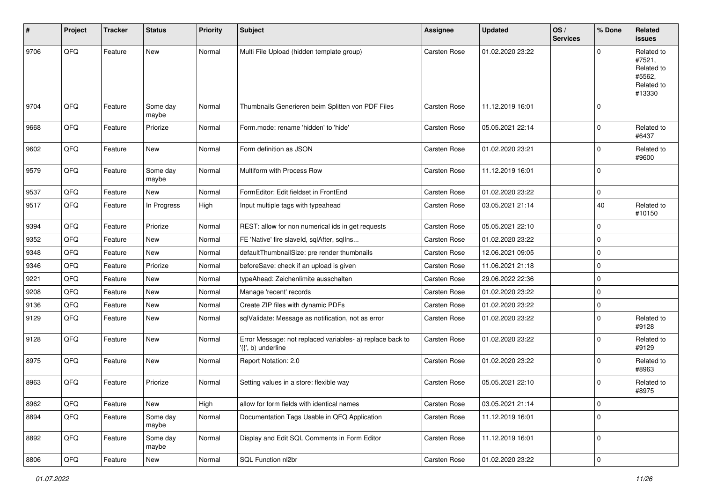| $\vert$ # | Project | <b>Tracker</b> | <b>Status</b>     | <b>Priority</b> | <b>Subject</b>                                                                  | <b>Assignee</b>     | <b>Updated</b>   | OS/<br><b>Services</b> | % Done      | Related<br>issues                                                    |
|-----------|---------|----------------|-------------------|-----------------|---------------------------------------------------------------------------------|---------------------|------------------|------------------------|-------------|----------------------------------------------------------------------|
| 9706      | QFQ     | Feature        | <b>New</b>        | Normal          | Multi File Upload (hidden template group)                                       | Carsten Rose        | 01.02.2020 23:22 |                        | $\Omega$    | Related to<br>#7521,<br>Related to<br>#5562,<br>Related to<br>#13330 |
| 9704      | QFQ     | Feature        | Some day<br>maybe | Normal          | Thumbnails Generieren beim Splitten von PDF Files                               | Carsten Rose        | 11.12.2019 16:01 |                        | $\Omega$    |                                                                      |
| 9668      | QFQ     | Feature        | Priorize          | Normal          | Form.mode: rename 'hidden' to 'hide'                                            | Carsten Rose        | 05.05.2021 22:14 |                        | $\Omega$    | Related to<br>#6437                                                  |
| 9602      | QFQ     | Feature        | New               | Normal          | Form definition as JSON                                                         | Carsten Rose        | 01.02.2020 23:21 |                        | $\mathbf 0$ | Related to<br>#9600                                                  |
| 9579      | QFQ     | Feature        | Some day<br>maybe | Normal          | Multiform with Process Row                                                      | Carsten Rose        | 11.12.2019 16:01 |                        | 0           |                                                                      |
| 9537      | QFQ     | Feature        | New               | Normal          | FormEditor: Edit fieldset in FrontEnd                                           | Carsten Rose        | 01.02.2020 23:22 |                        | 0           |                                                                      |
| 9517      | QFQ     | Feature        | In Progress       | High            | Input multiple tags with typeahead                                              | Carsten Rose        | 03.05.2021 21:14 |                        | 40          | Related to<br>#10150                                                 |
| 9394      | QFQ     | Feature        | Priorize          | Normal          | REST: allow for non numerical ids in get requests                               | Carsten Rose        | 05.05.2021 22:10 |                        | 0           |                                                                      |
| 9352      | QFQ     | Feature        | New               | Normal          | FE 'Native' fire slaveld, sqlAfter, sqlIns                                      | Carsten Rose        | 01.02.2020 23:22 |                        | $\mathbf 0$ |                                                                      |
| 9348      | QFQ     | Feature        | New               | Normal          | defaultThumbnailSize: pre render thumbnails                                     | <b>Carsten Rose</b> | 12.06.2021 09:05 |                        | $\mathbf 0$ |                                                                      |
| 9346      | QFQ     | Feature        | Priorize          | Normal          | beforeSave: check if an upload is given                                         | Carsten Rose        | 11.06.2021 21:18 |                        | 0           |                                                                      |
| 9221      | QFQ     | Feature        | New               | Normal          | typeAhead: Zeichenlimite ausschalten                                            | Carsten Rose        | 29.06.2022 22:36 |                        | $\Omega$    |                                                                      |
| 9208      | QFQ     | Feature        | New               | Normal          | Manage 'recent' records                                                         | Carsten Rose        | 01.02.2020 23:22 |                        | $\mathbf 0$ |                                                                      |
| 9136      | QFQ     | Feature        | New               | Normal          | Create ZIP files with dynamic PDFs                                              | Carsten Rose        | 01.02.2020 23:22 |                        | 0           |                                                                      |
| 9129      | QFQ     | Feature        | New               | Normal          | sqlValidate: Message as notification, not as error                              | Carsten Rose        | 01.02.2020 23:22 |                        | $\Omega$    | Related to<br>#9128                                                  |
| 9128      | QFQ     | Feature        | New               | Normal          | Error Message: not replaced variables- a) replace back to<br>'{{', b) underline | Carsten Rose        | 01.02.2020 23:22 |                        | $\Omega$    | Related to<br>#9129                                                  |
| 8975      | QFQ     | Feature        | New               | Normal          | Report Notation: 2.0                                                            | Carsten Rose        | 01.02.2020 23:22 |                        | $\mathbf 0$ | Related to<br>#8963                                                  |
| 8963      | QFQ     | Feature        | Priorize          | Normal          | Setting values in a store: flexible way                                         | <b>Carsten Rose</b> | 05.05.2021 22:10 |                        | $\mathbf 0$ | Related to<br>#8975                                                  |
| 8962      | QFG     | Feature        | New               | High            | allow for form fields with identical names                                      | Carsten Rose        | 03.05.2021 21:14 |                        | 0           |                                                                      |
| 8894      | QFQ     | Feature        | Some day<br>maybe | Normal          | Documentation Tags Usable in QFQ Application                                    | Carsten Rose        | 11.12.2019 16:01 |                        | $\mathbf 0$ |                                                                      |
| 8892      | QFQ     | Feature        | Some day<br>maybe | Normal          | Display and Edit SQL Comments in Form Editor                                    | Carsten Rose        | 11.12.2019 16:01 |                        | 0           |                                                                      |
| 8806      | QFG     | Feature        | New               | Normal          | SQL Function nl2br                                                              | Carsten Rose        | 01.02.2020 23:22 |                        | $\pmb{0}$   |                                                                      |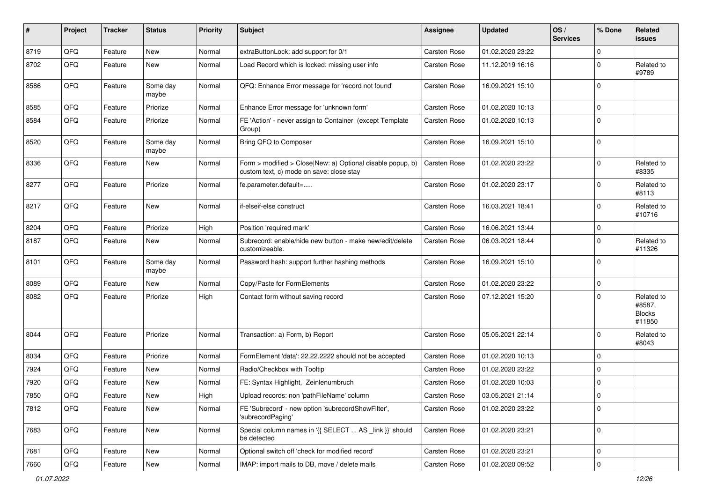| #    | Project | <b>Tracker</b> | <b>Status</b>     | <b>Priority</b> | Subject                                                                                                | <b>Assignee</b>     | <b>Updated</b>   | OS/<br><b>Services</b> | % Done      | Related<br>issues                               |
|------|---------|----------------|-------------------|-----------------|--------------------------------------------------------------------------------------------------------|---------------------|------------------|------------------------|-------------|-------------------------------------------------|
| 8719 | QFQ     | Feature        | <b>New</b>        | Normal          | extraButtonLock: add support for 0/1                                                                   | <b>Carsten Rose</b> | 01.02.2020 23:22 |                        | $\mathbf 0$ |                                                 |
| 8702 | QFQ     | Feature        | New               | Normal          | Load Record which is locked: missing user info                                                         | Carsten Rose        | 11.12.2019 16:16 |                        | $\mathbf 0$ | Related to<br>#9789                             |
| 8586 | QFQ     | Feature        | Some day<br>maybe | Normal          | QFQ: Enhance Error message for 'record not found'                                                      | Carsten Rose        | 16.09.2021 15:10 |                        | $\mathbf 0$ |                                                 |
| 8585 | QFQ     | Feature        | Priorize          | Normal          | Enhance Error message for 'unknown form'                                                               | Carsten Rose        | 01.02.2020 10:13 |                        | $\mathbf 0$ |                                                 |
| 8584 | QFQ     | Feature        | Priorize          | Normal          | FE 'Action' - never assign to Container (except Template<br>Group)                                     | Carsten Rose        | 01.02.2020 10:13 |                        | $\mathbf 0$ |                                                 |
| 8520 | QFQ     | Feature        | Some day<br>maybe | Normal          | Bring QFQ to Composer                                                                                  | Carsten Rose        | 16.09.2021 15:10 |                        | $\mathbf 0$ |                                                 |
| 8336 | QFQ     | Feature        | New               | Normal          | Form > modified > Close New: a) Optional disable popup, b)<br>custom text, c) mode on save: close stay | Carsten Rose        | 01.02.2020 23:22 |                        | $\mathbf 0$ | Related to<br>#8335                             |
| 8277 | QFQ     | Feature        | Priorize          | Normal          | fe.parameter.default=                                                                                  | Carsten Rose        | 01.02.2020 23:17 |                        | $\mathbf 0$ | Related to<br>#8113                             |
| 8217 | QFQ     | Feature        | New               | Normal          | if-elseif-else construct                                                                               | Carsten Rose        | 16.03.2021 18:41 |                        | $\mathbf 0$ | Related to<br>#10716                            |
| 8204 | QFQ     | Feature        | Priorize          | High            | Position 'required mark'                                                                               | <b>Carsten Rose</b> | 16.06.2021 13:44 |                        | $\mathbf 0$ |                                                 |
| 8187 | QFQ     | Feature        | New               | Normal          | Subrecord: enable/hide new button - make new/edit/delete<br>customizeable.                             | Carsten Rose        | 06.03.2021 18:44 |                        | $\mathbf 0$ | Related to<br>#11326                            |
| 8101 | QFQ     | Feature        | Some day<br>maybe | Normal          | Password hash: support further hashing methods                                                         | Carsten Rose        | 16.09.2021 15:10 |                        | $\mathbf 0$ |                                                 |
| 8089 | QFQ     | Feature        | New               | Normal          | Copy/Paste for FormElements                                                                            | Carsten Rose        | 01.02.2020 23:22 |                        | $\mathbf 0$ |                                                 |
| 8082 | QFQ     | Feature        | Priorize          | High            | Contact form without saving record                                                                     | Carsten Rose        | 07.12.2021 15:20 |                        | $\Omega$    | Related to<br>#8587,<br><b>Blocks</b><br>#11850 |
| 8044 | QFQ     | Feature        | Priorize          | Normal          | Transaction: a) Form, b) Report                                                                        | Carsten Rose        | 05.05.2021 22:14 |                        | $\mathbf 0$ | Related to<br>#8043                             |
| 8034 | QFQ     | Feature        | Priorize          | Normal          | FormElement 'data': 22.22.2222 should not be accepted                                                  | Carsten Rose        | 01.02.2020 10:13 |                        | $\mathbf 0$ |                                                 |
| 7924 | QFQ     | Feature        | New               | Normal          | Radio/Checkbox with Tooltip                                                                            | Carsten Rose        | 01.02.2020 23:22 |                        | $\mathbf 0$ |                                                 |
| 7920 | QFQ     | Feature        | New               | Normal          | FE: Syntax Highlight, Zeinlenumbruch                                                                   | Carsten Rose        | 01.02.2020 10:03 |                        | $\mathbf 0$ |                                                 |
| 7850 | QFQ     | Feature        | New               | High            | Upload records: non 'pathFileName' column                                                              | <b>Carsten Rose</b> | 03.05.2021 21:14 |                        | $\Omega$    |                                                 |
| 7812 | QFQ     | Feature        | New               | Normal          | FE 'Subrecord' - new option 'subrecordShowFilter',<br>'subrecordPaging'                                | Carsten Rose        | 01.02.2020 23:22 |                        | $\mathbf 0$ |                                                 |
| 7683 | QFQ     | Feature        | New               | Normal          | Special column names in '{{ SELECT  AS link }}' should<br>be detected                                  | Carsten Rose        | 01.02.2020 23:21 |                        | 0           |                                                 |
| 7681 | QFQ     | Feature        | New               | Normal          | Optional switch off 'check for modified record'                                                        | Carsten Rose        | 01.02.2020 23:21 |                        | $\mathbf 0$ |                                                 |
| 7660 | QFQ     | Feature        | New               | Normal          | IMAP: import mails to DB, move / delete mails                                                          | Carsten Rose        | 01.02.2020 09:52 |                        | 0           |                                                 |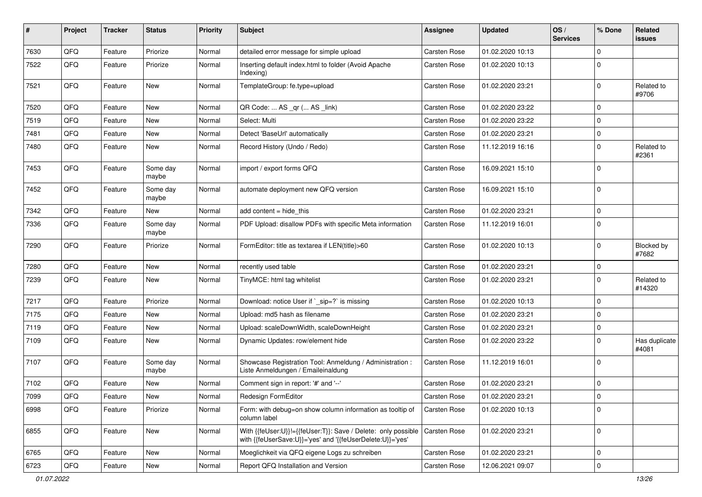| #    | Project | <b>Tracker</b> | <b>Status</b>     | <b>Priority</b> | Subject                                                                                                                    | <b>Assignee</b>     | <b>Updated</b>   | OS/<br><b>Services</b> | % Done      | Related<br>issues      |
|------|---------|----------------|-------------------|-----------------|----------------------------------------------------------------------------------------------------------------------------|---------------------|------------------|------------------------|-------------|------------------------|
| 7630 | QFQ     | Feature        | Priorize          | Normal          | detailed error message for simple upload                                                                                   | <b>Carsten Rose</b> | 01.02.2020 10:13 |                        | $\mathbf 0$ |                        |
| 7522 | QFQ     | Feature        | Priorize          | Normal          | Inserting default index.html to folder (Avoid Apache<br>Indexing)                                                          | Carsten Rose        | 01.02.2020 10:13 |                        | $\Omega$    |                        |
| 7521 | QFQ     | Feature        | New               | Normal          | TemplateGroup: fe.type=upload                                                                                              | Carsten Rose        | 01.02.2020 23:21 |                        | $\Omega$    | Related to<br>#9706    |
| 7520 | QFQ     | Feature        | New               | Normal          | QR Code:  AS _qr ( AS _link)                                                                                               | <b>Carsten Rose</b> | 01.02.2020 23:22 |                        | $\mathbf 0$ |                        |
| 7519 | QFQ     | Feature        | New               | Normal          | Select: Multi                                                                                                              | Carsten Rose        | 01.02.2020 23:22 |                        | $\mathbf 0$ |                        |
| 7481 | QFQ     | Feature        | New               | Normal          | Detect 'BaseUrl' automatically                                                                                             | <b>Carsten Rose</b> | 01.02.2020 23:21 |                        | $\mathbf 0$ |                        |
| 7480 | QFQ     | Feature        | New               | Normal          | Record History (Undo / Redo)                                                                                               | Carsten Rose        | 11.12.2019 16:16 |                        | $\Omega$    | Related to<br>#2361    |
| 7453 | QFQ     | Feature        | Some day<br>maybe | Normal          | import / export forms QFQ                                                                                                  | Carsten Rose        | 16.09.2021 15:10 |                        | $\mathbf 0$ |                        |
| 7452 | QFQ     | Feature        | Some day<br>maybe | Normal          | automate deployment new QFQ version                                                                                        | Carsten Rose        | 16.09.2021 15:10 |                        | $\mathbf 0$ |                        |
| 7342 | QFQ     | Feature        | New               | Normal          | add content $=$ hide this                                                                                                  | <b>Carsten Rose</b> | 01.02.2020 23:21 |                        | $\mathbf 0$ |                        |
| 7336 | QFQ     | Feature        | Some day<br>maybe | Normal          | PDF Upload: disallow PDFs with specific Meta information                                                                   | Carsten Rose        | 11.12.2019 16:01 |                        | $\Omega$    |                        |
| 7290 | QFQ     | Feature        | Priorize          | Normal          | FormEditor: title as textarea if LEN(title)>60                                                                             | Carsten Rose        | 01.02.2020 10:13 |                        | $\mathbf 0$ | Blocked by<br>#7682    |
| 7280 | QFQ     | Feature        | New               | Normal          | recently used table                                                                                                        | Carsten Rose        | 01.02.2020 23:21 |                        | $\mathbf 0$ |                        |
| 7239 | QFQ     | Feature        | New               | Normal          | TinyMCE: html tag whitelist                                                                                                | Carsten Rose        | 01.02.2020 23:21 |                        | $\Omega$    | Related to<br>#14320   |
| 7217 | QFQ     | Feature        | Priorize          | Normal          | Download: notice User if `_sip=?` is missing                                                                               | <b>Carsten Rose</b> | 01.02.2020 10:13 |                        | $\mathbf 0$ |                        |
| 7175 | QFQ     | Feature        | New               | Normal          | Upload: md5 hash as filename                                                                                               | Carsten Rose        | 01.02.2020 23:21 |                        | $\mathbf 0$ |                        |
| 7119 | QFQ     | Feature        | New               | Normal          | Upload: scaleDownWidth, scaleDownHeight                                                                                    | Carsten Rose        | 01.02.2020 23:21 |                        | $\mathbf 0$ |                        |
| 7109 | QFQ     | Feature        | New               | Normal          | Dynamic Updates: row/element hide                                                                                          | Carsten Rose        | 01.02.2020 23:22 |                        | $\mathbf 0$ | Has duplicate<br>#4081 |
| 7107 | QFQ     | Feature        | Some day<br>maybe | Normal          | Showcase Registration Tool: Anmeldung / Administration :<br>Liste Anmeldungen / Emaileinaldung                             | Carsten Rose        | 11.12.2019 16:01 |                        | $\mathbf 0$ |                        |
| 7102 | QFQ     | Feature        | New               | Normal          | Comment sign in report: '#' and '--'                                                                                       | Carsten Rose        | 01.02.2020 23:21 |                        | 0           |                        |
| 7099 | QFG     | Feature        | New               | Normal          | Redesign FormEditor                                                                                                        | Carsten Rose        | 01.02.2020 23:21 |                        | 0           |                        |
| 6998 | QFQ     | Feature        | Priorize          | Normal          | Form: with debug=on show column information as tooltip of<br>column label                                                  | Carsten Rose        | 01.02.2020 10:13 |                        | $\mathbf 0$ |                        |
| 6855 | QFQ     | Feature        | New               | Normal          | With {{feUser:U}}!={{feUser:T}}: Save / Delete: only possible<br>with {{feUserSave:U}}='yes' and '{{feUserDelete:U}}='yes' | <b>Carsten Rose</b> | 01.02.2020 23:21 |                        | $\mathbf 0$ |                        |
| 6765 | QFQ     | Feature        | New               | Normal          | Moeglichkeit via QFQ eigene Logs zu schreiben                                                                              | Carsten Rose        | 01.02.2020 23:21 |                        | $\mathbf 0$ |                        |
| 6723 | QFQ     | Feature        | New               | Normal          | Report QFQ Installation and Version                                                                                        | Carsten Rose        | 12.06.2021 09:07 |                        | $\mathbf 0$ |                        |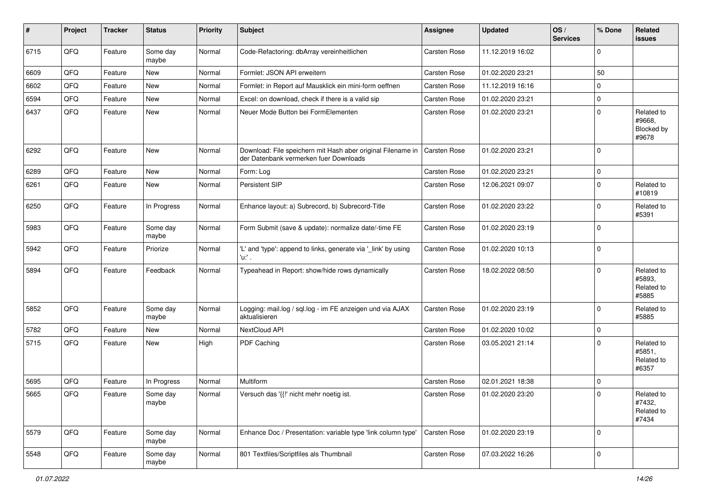| $\vert$ # | Project | <b>Tracker</b> | <b>Status</b>     | <b>Priority</b> | <b>Subject</b>                                                                                        | <b>Assignee</b>     | <b>Updated</b>   | OS/<br><b>Services</b> | % Done      | Related<br>issues                           |
|-----------|---------|----------------|-------------------|-----------------|-------------------------------------------------------------------------------------------------------|---------------------|------------------|------------------------|-------------|---------------------------------------------|
| 6715      | QFQ     | Feature        | Some day<br>maybe | Normal          | Code-Refactoring: dbArray vereinheitlichen                                                            | Carsten Rose        | 11.12.2019 16:02 |                        | $\Omega$    |                                             |
| 6609      | QFQ     | Feature        | New               | Normal          | Formlet: JSON API erweitern                                                                           | Carsten Rose        | 01.02.2020 23:21 |                        | 50          |                                             |
| 6602      | QFQ     | Feature        | New               | Normal          | Formlet: in Report auf Mausklick ein mini-form oeffnen                                                | Carsten Rose        | 11.12.2019 16:16 |                        | $\Omega$    |                                             |
| 6594      | QFQ     | Feature        | New               | Normal          | Excel: on download, check if there is a valid sip                                                     | Carsten Rose        | 01.02.2020 23:21 |                        | $\mathbf 0$ |                                             |
| 6437      | QFQ     | Feature        | New               | Normal          | Neuer Mode Button bei FormElementen                                                                   | Carsten Rose        | 01.02.2020 23:21 |                        | $\Omega$    | Related to<br>#9668,<br>Blocked by<br>#9678 |
| 6292      | QFQ     | Feature        | New               | Normal          | Download: File speichern mit Hash aber original Filename in<br>der Datenbank vermerken fuer Downloads | Carsten Rose        | 01.02.2020 23:21 |                        | $\Omega$    |                                             |
| 6289      | QFQ     | Feature        | <b>New</b>        | Normal          | Form: Log                                                                                             | Carsten Rose        | 01.02.2020 23:21 |                        | $\mathbf 0$ |                                             |
| 6261      | QFQ     | Feature        | <b>New</b>        | Normal          | Persistent SIP                                                                                        | Carsten Rose        | 12.06.2021 09:07 |                        | $\mathbf 0$ | Related to<br>#10819                        |
| 6250      | QFQ     | Feature        | In Progress       | Normal          | Enhance layout: a) Subrecord, b) Subrecord-Title                                                      | Carsten Rose        | 01.02.2020 23:22 |                        | $\Omega$    | Related to<br>#5391                         |
| 5983      | QFQ     | Feature        | Some day<br>maybe | Normal          | Form Submit (save & update): normalize date/-time FE                                                  | Carsten Rose        | 01.02.2020 23:19 |                        | $\Omega$    |                                             |
| 5942      | QFQ     | Feature        | Priorize          | Normal          | 'L' and 'type': append to links, generate via '_link' by using<br>'u:' .                              | Carsten Rose        | 01.02.2020 10:13 |                        | $\mathbf 0$ |                                             |
| 5894      | QFQ     | Feature        | Feedback          | Normal          | Typeahead in Report: show/hide rows dynamically                                                       | Carsten Rose        | 18.02.2022 08:50 |                        | $\Omega$    | Related to<br>#5893,<br>Related to<br>#5885 |
| 5852      | QFQ     | Feature        | Some day<br>maybe | Normal          | Logging: mail.log / sql.log - im FE anzeigen und via AJAX<br>aktualisieren                            | Carsten Rose        | 01.02.2020 23:19 |                        | $\Omega$    | Related to<br>#5885                         |
| 5782      | QFQ     | Feature        | New               | Normal          | NextCloud API                                                                                         | Carsten Rose        | 01.02.2020 10:02 |                        | $\mathbf 0$ |                                             |
| 5715      | QFQ     | Feature        | New               | High            | PDF Caching                                                                                           | Carsten Rose        | 03.05.2021 21:14 |                        | $\Omega$    | Related to<br>#5851,<br>Related to<br>#6357 |
| 5695      | QFQ     | Feature        | In Progress       | Normal          | Multiform                                                                                             | <b>Carsten Rose</b> | 02.01.2021 18:38 |                        | 0           |                                             |
| 5665      | QFQ     | Feature        | Some day<br>maybe | Normal          | Versuch das '{{!' nicht mehr noetig ist.                                                              | Carsten Rose        | 01.02.2020 23:20 |                        | $\Omega$    | Related to<br>#7432,<br>Related to<br>#7434 |
| 5579      | QFQ     | Feature        | Some day<br>maybe | Normal          | Enhance Doc / Presentation: variable type 'link column type'                                          | Carsten Rose        | 01.02.2020 23:19 |                        | $\mathbf 0$ |                                             |
| 5548      | QFQ     | Feature        | Some day<br>maybe | Normal          | 801 Textfiles/Scriptfiles als Thumbnail                                                               | Carsten Rose        | 07.03.2022 16:26 |                        | 0           |                                             |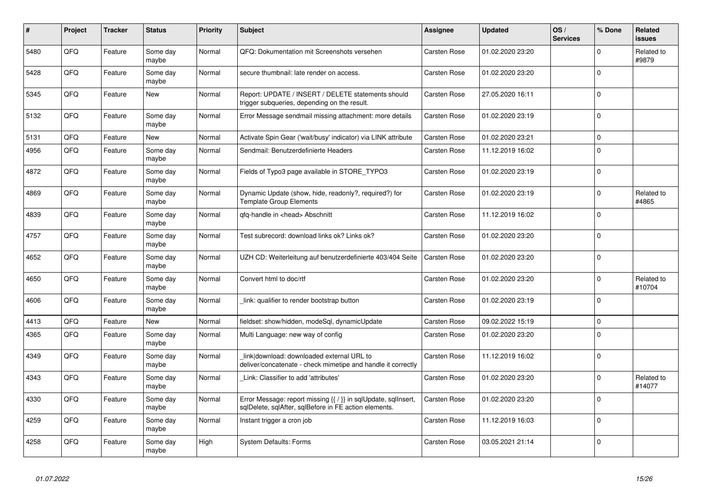| #    | Project | <b>Tracker</b> | <b>Status</b>     | <b>Priority</b> | <b>Subject</b>                                                                                                          | Assignee            | <b>Updated</b>   | OS/<br><b>Services</b> | % Done      | Related<br><b>issues</b> |
|------|---------|----------------|-------------------|-----------------|-------------------------------------------------------------------------------------------------------------------------|---------------------|------------------|------------------------|-------------|--------------------------|
| 5480 | QFQ     | Feature        | Some day<br>maybe | Normal          | QFQ: Dokumentation mit Screenshots versehen                                                                             | Carsten Rose        | 01.02.2020 23:20 |                        | $\mathbf 0$ | Related to<br>#9879      |
| 5428 | QFQ     | Feature        | Some day<br>maybe | Normal          | secure thumbnail: late render on access.                                                                                | Carsten Rose        | 01.02.2020 23:20 |                        | $\mathbf 0$ |                          |
| 5345 | QFQ     | Feature        | New               | Normal          | Report: UPDATE / INSERT / DELETE statements should<br>trigger subqueries, depending on the result.                      | Carsten Rose        | 27.05.2020 16:11 |                        | $\Omega$    |                          |
| 5132 | QFQ     | Feature        | Some day<br>maybe | Normal          | Error Message sendmail missing attachment: more details                                                                 | Carsten Rose        | 01.02.2020 23:19 |                        | $\mathbf 0$ |                          |
| 5131 | QFQ     | Feature        | <b>New</b>        | Normal          | Activate Spin Gear ('wait/busy' indicator) via LINK attribute                                                           | <b>Carsten Rose</b> | 01.02.2020 23:21 |                        | $\mathbf 0$ |                          |
| 4956 | QFQ     | Feature        | Some day<br>maybe | Normal          | Sendmail: Benutzerdefinierte Headers                                                                                    | Carsten Rose        | 11.12.2019 16:02 |                        | $\mathbf 0$ |                          |
| 4872 | QFQ     | Feature        | Some day<br>maybe | Normal          | Fields of Typo3 page available in STORE TYPO3                                                                           | Carsten Rose        | 01.02.2020 23:19 |                        | $\mathbf 0$ |                          |
| 4869 | QFQ     | Feature        | Some day<br>maybe | Normal          | Dynamic Update (show, hide, readonly?, required?) for<br><b>Template Group Elements</b>                                 | Carsten Rose        | 01.02.2020 23:19 |                        | $\mathbf 0$ | Related to<br>#4865      |
| 4839 | QFQ     | Feature        | Some day<br>maybe | Normal          | gfg-handle in <head> Abschnitt</head>                                                                                   | Carsten Rose        | 11.12.2019 16:02 |                        | $\mathbf 0$ |                          |
| 4757 | QFQ     | Feature        | Some day<br>maybe | Normal          | Test subrecord: download links ok? Links ok?                                                                            | Carsten Rose        | 01.02.2020 23:20 |                        | $\Omega$    |                          |
| 4652 | QFQ     | Feature        | Some day<br>maybe | Normal          | UZH CD: Weiterleitung auf benutzerdefinierte 403/404 Seite                                                              | Carsten Rose        | 01.02.2020 23:20 |                        | $\mathbf 0$ |                          |
| 4650 | QFQ     | Feature        | Some day<br>maybe | Normal          | Convert html to doc/rtf                                                                                                 | Carsten Rose        | 01.02.2020 23:20 |                        | $\Omega$    | Related to<br>#10704     |
| 4606 | QFQ     | Feature        | Some day<br>maybe | Normal          | link: qualifier to render bootstrap button                                                                              | Carsten Rose        | 01.02.2020 23:19 |                        | $\mathbf 0$ |                          |
| 4413 | QFQ     | Feature        | <b>New</b>        | Normal          | fieldset: show/hidden, modeSgl, dynamicUpdate                                                                           | Carsten Rose        | 09.02.2022 15:19 |                        | $\mathbf 0$ |                          |
| 4365 | QFQ     | Feature        | Some day<br>maybe | Normal          | Multi Language: new way of config                                                                                       | Carsten Rose        | 01.02.2020 23:20 |                        | $\mathbf 0$ |                          |
| 4349 | QFQ     | Feature        | Some day<br>maybe | Normal          | link download: downloaded external URL to<br>deliver/concatenate - check mimetipe and handle it correctly               | Carsten Rose        | 11.12.2019 16:02 |                        | $\mathbf 0$ |                          |
| 4343 | QFQ     | Feature        | Some day<br>maybe | Normal          | Link: Classifier to add 'attributes'                                                                                    | Carsten Rose        | 01.02.2020 23:20 |                        | $\Omega$    | Related to<br>#14077     |
| 4330 | QFQ     | Feature        | Some day<br>maybe | Normal          | Error Message: report missing {{ / }} in sqlUpdate, sqlInsert,<br>sglDelete, sglAfter, sglBefore in FE action elements. | Carsten Rose        | 01.02.2020 23:20 |                        | $\Omega$    |                          |
| 4259 | QFQ     | Feature        | Some day<br>maybe | Normal          | Instant trigger a cron job                                                                                              | <b>Carsten Rose</b> | 11.12.2019 16:03 |                        | $\mathbf 0$ |                          |
| 4258 | QFQ     | Feature        | Some day<br>maybe | High            | <b>System Defaults: Forms</b>                                                                                           | Carsten Rose        | 03.05.2021 21:14 |                        | $\mathbf 0$ |                          |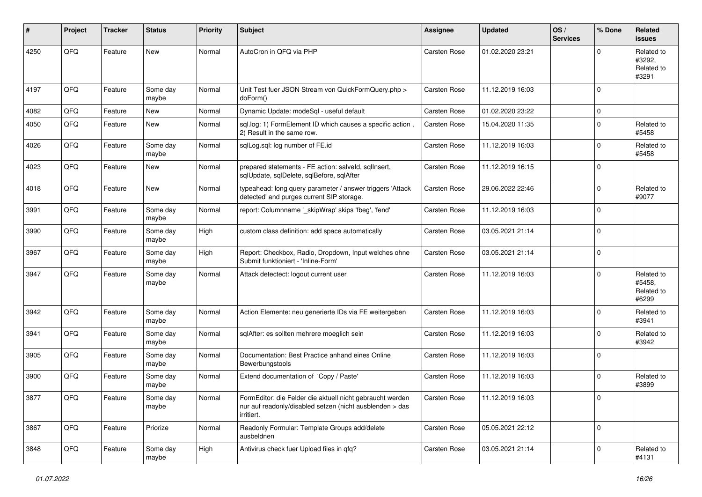| #    | Project        | <b>Tracker</b> | <b>Status</b>     | <b>Priority</b> | Subject                                                                                                                             | <b>Assignee</b>     | <b>Updated</b>   | OS/<br><b>Services</b> | % Done      | Related<br>issues                           |
|------|----------------|----------------|-------------------|-----------------|-------------------------------------------------------------------------------------------------------------------------------------|---------------------|------------------|------------------------|-------------|---------------------------------------------|
| 4250 | QFQ            | Feature        | New               | Normal          | AutoCron in QFQ via PHP                                                                                                             | Carsten Rose        | 01.02.2020 23:21 |                        | $\Omega$    | Related to<br>#3292.<br>Related to<br>#3291 |
| 4197 | QFQ            | Feature        | Some day<br>maybe | Normal          | Unit Test fuer JSON Stream von QuickFormQuery.php ><br>doForm()                                                                     | Carsten Rose        | 11.12.2019 16:03 |                        | $\Omega$    |                                             |
| 4082 | QFQ            | Feature        | <b>New</b>        | Normal          | Dynamic Update: modeSql - useful default                                                                                            | <b>Carsten Rose</b> | 01.02.2020 23:22 |                        | 0           |                                             |
| 4050 | QFQ            | Feature        | <b>New</b>        | Normal          | sql.log: 1) FormElement ID which causes a specific action,<br>2) Result in the same row.                                            | Carsten Rose        | 15.04.2020 11:35 |                        | $\Omega$    | Related to<br>#5458                         |
| 4026 | QFQ            | Feature        | Some day<br>maybe | Normal          | sqlLog.sql: log number of FE.id                                                                                                     | Carsten Rose        | 11.12.2019 16:03 |                        | $\mathbf 0$ | Related to<br>#5458                         |
| 4023 | QFQ            | Feature        | <b>New</b>        | Normal          | prepared statements - FE action: salveld, sqllnsert,<br>sqlUpdate, sqlDelete, sqlBefore, sqlAfter                                   | Carsten Rose        | 11.12.2019 16:15 |                        | $\Omega$    |                                             |
| 4018 | QFQ            | Feature        | New               | Normal          | typeahead: long query parameter / answer triggers 'Attack<br>detected' and purges current SIP storage.                              | Carsten Rose        | 29.06.2022 22:46 |                        | $\Omega$    | Related to<br>#9077                         |
| 3991 | QFQ            | Feature        | Some day<br>maybe | Normal          | report: Columnname '_skipWrap' skips 'fbeg', 'fend'                                                                                 | Carsten Rose        | 11.12.2019 16:03 |                        | $\Omega$    |                                             |
| 3990 | QFQ            | Feature        | Some day<br>maybe | High            | custom class definition: add space automatically                                                                                    | <b>Carsten Rose</b> | 03.05.2021 21:14 |                        | $\Omega$    |                                             |
| 3967 | QFQ            | Feature        | Some day<br>maybe | High            | Report: Checkbox, Radio, Dropdown, Input welches ohne<br>Submit funktioniert - 'Inline-Form'                                        | Carsten Rose        | 03.05.2021 21:14 |                        | $\Omega$    |                                             |
| 3947 | QFQ            | Feature        | Some day<br>maybe | Normal          | Attack detectect: logout current user                                                                                               | Carsten Rose        | 11.12.2019 16:03 |                        | $\Omega$    | Related to<br>#5458,<br>Related to<br>#6299 |
| 3942 | QFQ            | Feature        | Some day<br>maybe | Normal          | Action Elemente: neu generierte IDs via FE weitergeben                                                                              | Carsten Rose        | 11.12.2019 16:03 |                        | $\Omega$    | Related to<br>#3941                         |
| 3941 | QFQ            | Feature        | Some day<br>maybe | Normal          | sqlAfter: es sollten mehrere moeglich sein                                                                                          | Carsten Rose        | 11.12.2019 16:03 |                        | $\Omega$    | Related to<br>#3942                         |
| 3905 | QFQ            | Feature        | Some day<br>maybe | Normal          | Documentation: Best Practice anhand eines Online<br>Bewerbungstools                                                                 | Carsten Rose        | 11.12.2019 16:03 |                        | $\Omega$    |                                             |
| 3900 | QFQ            | Feature        | Some day<br>maybe | Normal          | Extend documentation of 'Copy / Paste'                                                                                              | Carsten Rose        | 11.12.2019 16:03 |                        | 0           | Related to<br>#3899                         |
| 3877 | $\mathsf{QFQ}$ | Feature        | Some day<br>maybe | Normal          | FormEditor: die Felder die aktuell nicht gebraucht werden<br>nur auf readonly/disabled setzen (nicht ausblenden > das<br>irritiert. | Carsten Rose        | 11.12.2019 16:03 |                        |             |                                             |
| 3867 | QFQ            | Feature        | Priorize          | Normal          | Readonly Formular: Template Groups add/delete<br>ausbeldnen                                                                         | Carsten Rose        | 05.05.2021 22:12 |                        | 0           |                                             |
| 3848 | QFQ            | Feature        | Some day<br>maybe | High            | Antivirus check fuer Upload files in qfq?                                                                                           | Carsten Rose        | 03.05.2021 21:14 |                        | 0           | Related to<br>#4131                         |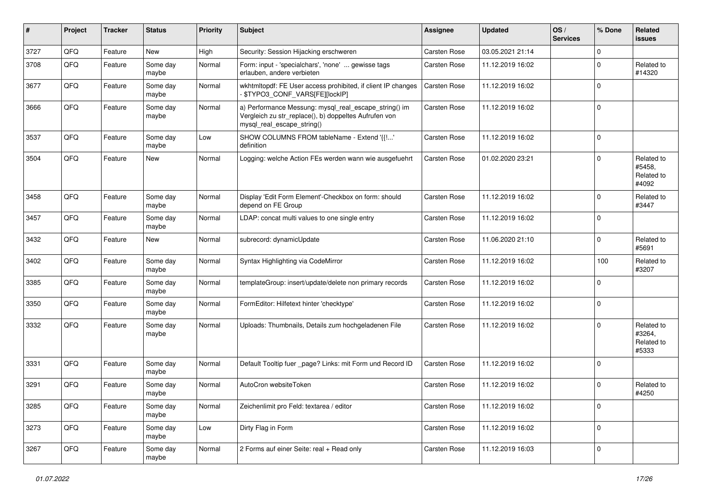| #    | Project | <b>Tracker</b> | <b>Status</b>     | <b>Priority</b> | Subject                                                                                                                                      | <b>Assignee</b>     | <b>Updated</b>   | OS/<br><b>Services</b> | % Done      | Related<br>issues                           |
|------|---------|----------------|-------------------|-----------------|----------------------------------------------------------------------------------------------------------------------------------------------|---------------------|------------------|------------------------|-------------|---------------------------------------------|
| 3727 | QFQ     | Feature        | New               | High            | Security: Session Hijacking erschweren                                                                                                       | Carsten Rose        | 03.05.2021 21:14 |                        | $\mathbf 0$ |                                             |
| 3708 | QFQ     | Feature        | Some day<br>maybe | Normal          | Form: input - 'specialchars', 'none'  gewisse tags<br>erlauben, andere verbieten                                                             | Carsten Rose        | 11.12.2019 16:02 |                        | $\mathbf 0$ | Related to<br>#14320                        |
| 3677 | QFQ     | Feature        | Some day<br>maybe | Normal          | wkhtmltopdf: FE User access prohibited, if client IP changes<br>- \$TYPO3_CONF_VARS[FE][lockIP]                                              | Carsten Rose        | 11.12.2019 16:02 |                        | $\Omega$    |                                             |
| 3666 | QFQ     | Feature        | Some day<br>maybe | Normal          | a) Performance Messung: mysql_real_escape_string() im<br>Vergleich zu str_replace(), b) doppeltes Aufrufen von<br>mysql_real_escape_string() | Carsten Rose        | 11.12.2019 16:02 |                        | $\Omega$    |                                             |
| 3537 | QFQ     | Feature        | Some day<br>maybe | Low             | SHOW COLUMNS FROM tableName - Extend '{{!'<br>definition                                                                                     | Carsten Rose        | 11.12.2019 16:02 |                        | $\Omega$    |                                             |
| 3504 | QFQ     | Feature        | New               | Normal          | Logging: welche Action FEs werden wann wie ausgefuehrt                                                                                       | Carsten Rose        | 01.02.2020 23:21 |                        | $\Omega$    | Related to<br>#5458,<br>Related to<br>#4092 |
| 3458 | QFQ     | Feature        | Some day<br>maybe | Normal          | Display 'Edit Form Element'-Checkbox on form: should<br>depend on FE Group                                                                   | <b>Carsten Rose</b> | 11.12.2019 16:02 |                        | $\Omega$    | Related to<br>#3447                         |
| 3457 | QFQ     | Feature        | Some day<br>maybe | Normal          | LDAP: concat multi values to one single entry                                                                                                | Carsten Rose        | 11.12.2019 16:02 |                        | $\mathbf 0$ |                                             |
| 3432 | QFQ     | Feature        | New               | Normal          | subrecord: dynamicUpdate                                                                                                                     | Carsten Rose        | 11.06.2020 21:10 |                        | $\Omega$    | Related to<br>#5691                         |
| 3402 | QFQ     | Feature        | Some day<br>maybe | Normal          | Syntax Highlighting via CodeMirror                                                                                                           | Carsten Rose        | 11.12.2019 16:02 |                        | 100         | Related to<br>#3207                         |
| 3385 | QFQ     | Feature        | Some day<br>maybe | Normal          | templateGroup: insert/update/delete non primary records                                                                                      | Carsten Rose        | 11.12.2019 16:02 |                        | $\mathbf 0$ |                                             |
| 3350 | QFQ     | Feature        | Some day<br>maybe | Normal          | FormEditor: Hilfetext hinter 'checktype'                                                                                                     | Carsten Rose        | 11.12.2019 16:02 |                        | $\Omega$    |                                             |
| 3332 | QFQ     | Feature        | Some day<br>maybe | Normal          | Uploads: Thumbnails, Details zum hochgeladenen File                                                                                          | Carsten Rose        | 11.12.2019 16:02 |                        | $\Omega$    | Related to<br>#3264,<br>Related to<br>#5333 |
| 3331 | QFQ     | Feature        | Some day<br>maybe | Normal          | Default Tooltip fuer _page? Links: mit Form und Record ID                                                                                    | Carsten Rose        | 11.12.2019 16:02 |                        | $\Omega$    |                                             |
| 3291 | QFQ     | Feature        | Some day<br>maybe | Normal          | AutoCron websiteToken                                                                                                                        | Carsten Rose        | 11.12.2019 16:02 |                        | $\Omega$    | Related to<br>#4250                         |
| 3285 | QFG     | Feature        | Some day<br>maybe | Normal          | Zeichenlimit pro Feld: textarea / editor                                                                                                     | Carsten Rose        | 11.12.2019 16:02 |                        | 0           |                                             |
| 3273 | QFQ     | Feature        | Some day<br>maybe | Low             | Dirty Flag in Form                                                                                                                           | Carsten Rose        | 11.12.2019 16:02 |                        | $\pmb{0}$   |                                             |
| 3267 | QFG     | Feature        | Some day<br>maybe | Normal          | 2 Forms auf einer Seite: real + Read only                                                                                                    | Carsten Rose        | 11.12.2019 16:03 |                        | 0           |                                             |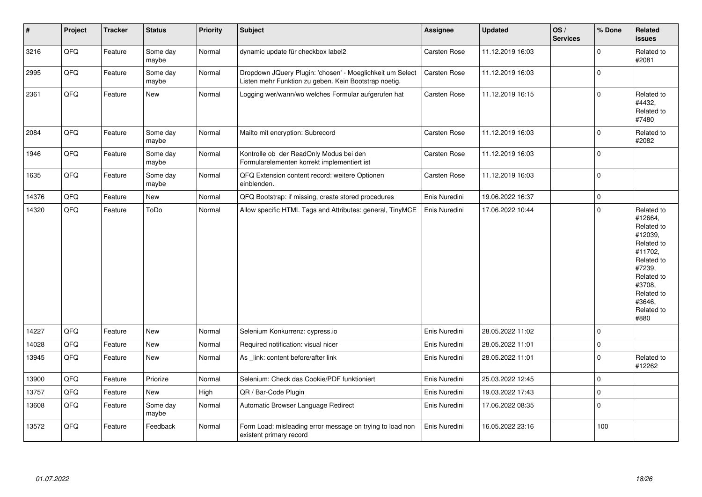| $\sharp$ | Project | <b>Tracker</b> | <b>Status</b>     | <b>Priority</b> | <b>Subject</b>                                                                                                     | <b>Assignee</b> | <b>Updated</b>   | OS/<br><b>Services</b> | % Done      | Related<br><b>issues</b>                                                                                                                                              |
|----------|---------|----------------|-------------------|-----------------|--------------------------------------------------------------------------------------------------------------------|-----------------|------------------|------------------------|-------------|-----------------------------------------------------------------------------------------------------------------------------------------------------------------------|
| 3216     | QFQ     | Feature        | Some day<br>maybe | Normal          | dynamic update für checkbox label2                                                                                 | Carsten Rose    | 11.12.2019 16:03 |                        | $\mathbf 0$ | Related to<br>#2081                                                                                                                                                   |
| 2995     | QFQ     | Feature        | Some day<br>maybe | Normal          | Dropdown JQuery Plugin: 'chosen' - Moeglichkeit um Select<br>Listen mehr Funktion zu geben. Kein Bootstrap noetig. | Carsten Rose    | 11.12.2019 16:03 |                        | $\pmb{0}$   |                                                                                                                                                                       |
| 2361     | QFQ     | Feature        | New               | Normal          | Logging wer/wann/wo welches Formular aufgerufen hat                                                                | Carsten Rose    | 11.12.2019 16:15 |                        | $\mathbf 0$ | Related to<br>#4432,<br>Related to<br>#7480                                                                                                                           |
| 2084     | QFQ     | Feature        | Some day<br>maybe | Normal          | Mailto mit encryption: Subrecord                                                                                   | Carsten Rose    | 11.12.2019 16:03 |                        | $\pmb{0}$   | Related to<br>#2082                                                                                                                                                   |
| 1946     | QFQ     | Feature        | Some day<br>maybe | Normal          | Kontrolle ob der ReadOnly Modus bei den<br>Formularelementen korrekt implementiert ist                             | Carsten Rose    | 11.12.2019 16:03 |                        | $\mathbf 0$ |                                                                                                                                                                       |
| 1635     | QFQ     | Feature        | Some day<br>maybe | Normal          | QFQ Extension content record: weitere Optionen<br>einblenden.                                                      | Carsten Rose    | 11.12.2019 16:03 |                        | $\mathbf 0$ |                                                                                                                                                                       |
| 14376    | QFQ     | Feature        | New               | Normal          | QFQ Bootstrap: if missing, create stored procedures                                                                | Enis Nuredini   | 19.06.2022 16:37 |                        | $\pmb{0}$   |                                                                                                                                                                       |
| 14320    | QFQ     | Feature        | ToDo              | Normal          | Allow specific HTML Tags and Attributes: general, TinyMCE                                                          | Enis Nuredini   | 17.06.2022 10:44 |                        | $\mathbf 0$ | Related to<br>#12664,<br>Related to<br>#12039,<br>Related to<br>#11702.<br>Related to<br>#7239,<br>Related to<br>#3708,<br>Related to<br>#3646.<br>Related to<br>#880 |
| 14227    | QFQ     | Feature        | New               | Normal          | Selenium Konkurrenz: cypress.io                                                                                    | Enis Nuredini   | 28.05.2022 11:02 |                        | $\mathbf 0$ |                                                                                                                                                                       |
| 14028    | QFQ     | Feature        | New               | Normal          | Required notification: visual nicer                                                                                | Enis Nuredini   | 28.05.2022 11:01 |                        | $\mathbf 0$ |                                                                                                                                                                       |
| 13945    | QFQ     | Feature        | New               | Normal          | As link: content before/after link                                                                                 | Enis Nuredini   | 28.05.2022 11:01 |                        | $\mathbf 0$ | Related to<br>#12262                                                                                                                                                  |
| 13900    | QFQ     | Feature        | Priorize          | Normal          | Selenium: Check das Cookie/PDF funktioniert                                                                        | Enis Nuredini   | 25.03.2022 12:45 |                        | $\pmb{0}$   |                                                                                                                                                                       |
| 13757    | QFQ     | Feature        | New               | High            | QR / Bar-Code Plugin                                                                                               | Enis Nuredini   | 19.03.2022 17:43 |                        | $\pmb{0}$   |                                                                                                                                                                       |
| 13608    | QFQ     | Feature        | Some day<br>maybe | Normal          | Automatic Browser Language Redirect                                                                                | Enis Nuredini   | 17.06.2022 08:35 |                        | $\pmb{0}$   |                                                                                                                                                                       |
| 13572    | QFQ     | Feature        | Feedback          | Normal          | Form Load: misleading error message on trying to load non<br>existent primary record                               | Enis Nuredini   | 16.05.2022 23:16 |                        | 100         |                                                                                                                                                                       |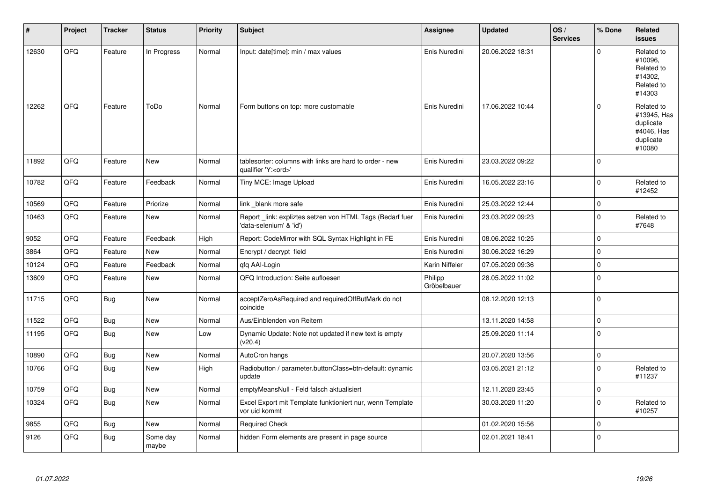| #     | Project | <b>Tracker</b> | <b>Status</b>     | Priority | Subject                                                                               | Assignee               | <b>Updated</b>   | OS/<br><b>Services</b> | % Done      | Related<br>issues                                                           |
|-------|---------|----------------|-------------------|----------|---------------------------------------------------------------------------------------|------------------------|------------------|------------------------|-------------|-----------------------------------------------------------------------------|
| 12630 | QFQ     | Feature        | In Progress       | Normal   | Input: date[time]: min / max values                                                   | Enis Nuredini          | 20.06.2022 18:31 |                        | $\Omega$    | Related to<br>#10096.<br>Related to<br>#14302.<br>Related to<br>#14303      |
| 12262 | QFQ     | Feature        | ToDo              | Normal   | Form buttons on top: more customable                                                  | Enis Nuredini          | 17.06.2022 10:44 |                        | $\Omega$    | Related to<br>#13945, Has<br>duplicate<br>#4046, Has<br>duplicate<br>#10080 |
| 11892 | QFQ     | Feature        | New               | Normal   | tablesorter: columns with links are hard to order - new<br>qualifier 'Y: <ord>'</ord> | Enis Nuredini          | 23.03.2022 09:22 |                        | $\mathbf 0$ |                                                                             |
| 10782 | QFQ     | Feature        | Feedback          | Normal   | Tiny MCE: Image Upload                                                                | Enis Nuredini          | 16.05.2022 23:16 |                        | $\mathbf 0$ | Related to<br>#12452                                                        |
| 10569 | QFQ     | Feature        | Priorize          | Normal   | link _blank more safe                                                                 | Enis Nuredini          | 25.03.2022 12:44 |                        | 0           |                                                                             |
| 10463 | QFQ     | Feature        | New               | Normal   | Report link: expliztes setzen von HTML Tags (Bedarf fuer<br>'data-selenium' & 'id')   | Enis Nuredini          | 23.03.2022 09:23 |                        | $\Omega$    | Related to<br>#7648                                                         |
| 9052  | QFQ     | Feature        | Feedback          | High     | Report: CodeMirror with SQL Syntax Highlight in FE                                    | Enis Nuredini          | 08.06.2022 10:25 |                        | 0           |                                                                             |
| 3864  | QFQ     | Feature        | New               | Normal   | Encrypt / decrypt field                                                               | Enis Nuredini          | 30.06.2022 16:29 |                        | $\Omega$    |                                                                             |
| 10124 | QFQ     | Feature        | Feedback          | Normal   | qfq AAI-Login                                                                         | Karin Niffeler         | 07.05.2020 09:36 |                        | 0           |                                                                             |
| 13609 | QFQ     | Feature        | New               | Normal   | QFQ Introduction: Seite aufloesen                                                     | Philipp<br>Gröbelbauer | 28.05.2022 11:02 |                        | $\mathbf 0$ |                                                                             |
| 11715 | QFQ     | Bug            | New               | Normal   | acceptZeroAsRequired and requiredOffButMark do not<br>coincide                        |                        | 08.12.2020 12:13 |                        | $\mathbf 0$ |                                                                             |
| 11522 | QFQ     | <b>Bug</b>     | New               | Normal   | Aus/Einblenden von Reitern                                                            |                        | 13.11.2020 14:58 |                        | $\mathbf 0$ |                                                                             |
| 11195 | QFQ     | Bug            | New               | Low      | Dynamic Update: Note not updated if new text is empty<br>(v20.4)                      |                        | 25.09.2020 11:14 |                        | 0           |                                                                             |
| 10890 | QFQ     | Bug            | New               | Normal   | AutoCron hangs                                                                        |                        | 20.07.2020 13:56 |                        | 0           |                                                                             |
| 10766 | QFQ     | <b>Bug</b>     | <b>New</b>        | High     | Radiobutton / parameter.buttonClass=btn-default: dynamic<br>update                    |                        | 03.05.2021 21:12 |                        | 0           | Related to<br>#11237                                                        |
| 10759 | QFQ     | Bug            | New               | Normal   | emptyMeansNull - Feld falsch aktualisiert                                             |                        | 12.11.2020 23:45 |                        | $\Omega$    |                                                                             |
| 10324 | QFQ     | <b>Bug</b>     | New               | Normal   | Excel Export mit Template funktioniert nur, wenn Template<br>vor uid kommt            |                        | 30.03.2020 11:20 |                        | $\Omega$    | Related to<br>#10257                                                        |
| 9855  | QFQ     | <b>Bug</b>     | <b>New</b>        | Normal   | <b>Required Check</b>                                                                 |                        | 01.02.2020 15:56 |                        | $\Omega$    |                                                                             |
| 9126  | QFQ     | <b>Bug</b>     | Some day<br>maybe | Normal   | hidden Form elements are present in page source                                       |                        | 02.01.2021 18:41 |                        | $\mathbf 0$ |                                                                             |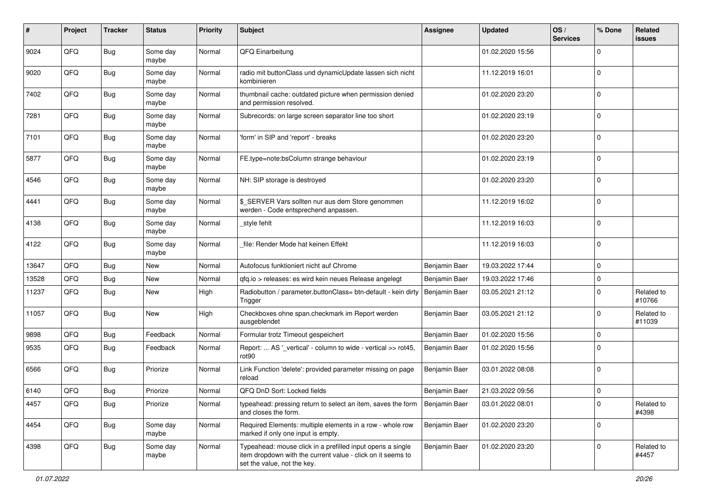| ∦     | Project | <b>Tracker</b> | <b>Status</b>     | <b>Priority</b> | Subject                                                                                                                                                  | <b>Assignee</b> | <b>Updated</b>   | OS/<br><b>Services</b> | % Done      | Related<br>issues    |
|-------|---------|----------------|-------------------|-----------------|----------------------------------------------------------------------------------------------------------------------------------------------------------|-----------------|------------------|------------------------|-------------|----------------------|
| 9024  | QFQ     | <b>Bug</b>     | Some day<br>maybe | Normal          | QFQ Einarbeitung                                                                                                                                         |                 | 01.02.2020 15:56 |                        | $\mathbf 0$ |                      |
| 9020  | QFQ     | Bug            | Some day<br>maybe | Normal          | radio mit buttonClass und dynamicUpdate lassen sich nicht<br>kombinieren                                                                                 |                 | 11.12.2019 16:01 |                        | $\mathbf 0$ |                      |
| 7402  | QFQ     | Bug            | Some day<br>maybe | Normal          | thumbnail cache: outdated picture when permission denied<br>and permission resolved.                                                                     |                 | 01.02.2020 23:20 |                        | $\mathbf 0$ |                      |
| 7281  | QFQ     | <b>Bug</b>     | Some day<br>maybe | Normal          | Subrecords: on large screen separator line too short                                                                                                     |                 | 01.02.2020 23:19 |                        | $\mathbf 0$ |                      |
| 7101  | QFQ     | <b>Bug</b>     | Some day<br>maybe | Normal          | 'form' in SIP and 'report' - breaks                                                                                                                      |                 | 01.02.2020 23:20 |                        | $\mathbf 0$ |                      |
| 5877  | QFQ     | Bug            | Some day<br>maybe | Normal          | FE.type=note:bsColumn strange behaviour                                                                                                                  |                 | 01.02.2020 23:19 |                        | $\mathbf 0$ |                      |
| 4546  | QFQ     | Bug            | Some day<br>maybe | Normal          | NH: SIP storage is destroyed                                                                                                                             |                 | 01.02.2020 23:20 |                        | $\mathbf 0$ |                      |
| 4441  | QFQ     | Bug            | Some day<br>maybe | Normal          | \$ SERVER Vars sollten nur aus dem Store genommen<br>werden - Code entsprechend anpassen.                                                                |                 | 11.12.2019 16:02 |                        | $\mathbf 0$ |                      |
| 4138  | QFQ     | Bug            | Some day<br>maybe | Normal          | _style fehlt                                                                                                                                             |                 | 11.12.2019 16:03 |                        | $\mathbf 0$ |                      |
| 4122  | QFQ     | <b>Bug</b>     | Some day<br>maybe | Normal          | file: Render Mode hat keinen Effekt                                                                                                                      |                 | 11.12.2019 16:03 |                        | $\mathbf 0$ |                      |
| 13647 | QFQ     | Bug            | <b>New</b>        | Normal          | Autofocus funktioniert nicht auf Chrome                                                                                                                  | Benjamin Baer   | 19.03.2022 17:44 |                        | $\mathbf 0$ |                      |
| 13528 | QFQ     | Bug            | New               | Normal          | gfg.io > releases: es wird kein neues Release angelegt                                                                                                   | Benjamin Baer   | 19.03.2022 17:46 |                        | $\mathbf 0$ |                      |
| 11237 | QFQ     | Bug            | New               | High            | Radiobutton / parameter.buttonClass= btn-default - kein dirty<br>Trigger                                                                                 | Benjamin Baer   | 03.05.2021 21:12 |                        | $\mathbf 0$ | Related to<br>#10766 |
| 11057 | QFQ     | Bug            | New               | High            | Checkboxes ohne span.checkmark im Report werden<br>ausgeblendet                                                                                          | Benjamin Baer   | 03.05.2021 21:12 |                        | $\mathbf 0$ | Related to<br>#11039 |
| 9898  | QFQ     | Bug            | Feedback          | Normal          | Formular trotz Timeout gespeichert                                                                                                                       | Benjamin Baer   | 01.02.2020 15:56 |                        | $\mathbf 0$ |                      |
| 9535  | QFQ     | Bug            | Feedback          | Normal          | Report:  AS '_vertical' - column to wide - vertical >> rot45,<br>rot90                                                                                   | Benjamin Baer   | 01.02.2020 15:56 |                        | $\Omega$    |                      |
| 6566  | QFQ     | Bug            | Priorize          | Normal          | Link Function 'delete': provided parameter missing on page<br>reload                                                                                     | Benjamin Baer   | 03.01.2022 08:08 |                        | $\Omega$    |                      |
| 6140  | QFQ     | Bug            | Priorize          | Normal          | QFQ DnD Sort: Locked fields                                                                                                                              | Benjamin Baer   | 21.03.2022 09:56 |                        | 0           |                      |
| 4457  | QFQ     | <b>Bug</b>     | Priorize          | Normal          | typeahead: pressing return to select an item, saves the form<br>and closes the form.                                                                     | Benjamin Baer   | 03.01.2022 08:01 |                        | $\pmb{0}$   | Related to<br>#4398  |
| 4454  | QFQ     | <b>Bug</b>     | Some day<br>maybe | Normal          | Required Elements: multiple elements in a row - whole row<br>marked if only one input is empty.                                                          | Benjamin Baer   | 01.02.2020 23:20 |                        | $\mathbf 0$ |                      |
| 4398  | QFQ     | Bug            | Some day<br>maybe | Normal          | Typeahead: mouse click in a prefilled input opens a single<br>item dropdown with the current value - click on it seems to<br>set the value, not the key. | Benjamin Baer   | 01.02.2020 23:20 |                        | $\mathbf 0$ | Related to<br>#4457  |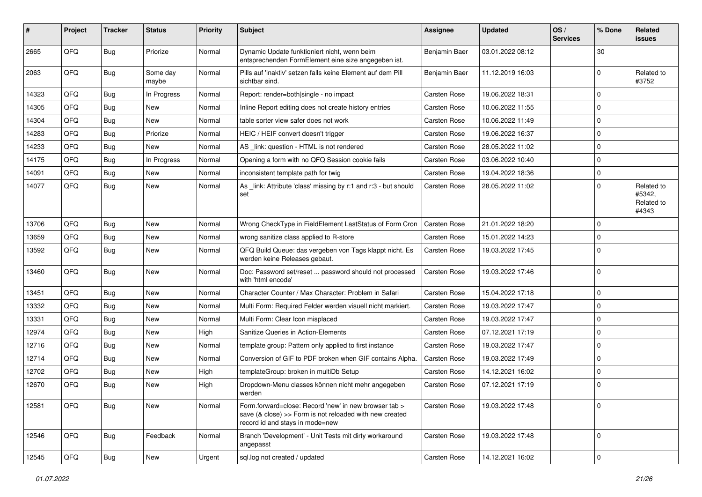| #     | Project | <b>Tracker</b> | <b>Status</b>     | <b>Priority</b> | <b>Subject</b>                                                                                                                                      | <b>Assignee</b> | <b>Updated</b>   | OS/<br><b>Services</b> | % Done      | Related<br>issues                           |
|-------|---------|----------------|-------------------|-----------------|-----------------------------------------------------------------------------------------------------------------------------------------------------|-----------------|------------------|------------------------|-------------|---------------------------------------------|
| 2665  | QFQ     | <b>Bug</b>     | Priorize          | Normal          | Dynamic Update funktioniert nicht, wenn beim<br>entsprechenden FormElement eine size angegeben ist.                                                 | Benjamin Baer   | 03.01.2022 08:12 |                        | 30          |                                             |
| 2063  | QFQ     | Bug            | Some day<br>maybe | Normal          | Pills auf 'inaktiv' setzen falls keine Element auf dem Pill<br>sichtbar sind.                                                                       | Benjamin Baer   | 11.12.2019 16:03 |                        | $\Omega$    | Related to<br>#3752                         |
| 14323 | QFQ     | Bug            | In Progress       | Normal          | Report: render=both single - no impact                                                                                                              | Carsten Rose    | 19.06.2022 18:31 |                        | $\mathbf 0$ |                                             |
| 14305 | QFQ     | <b>Bug</b>     | New               | Normal          | Inline Report editing does not create history entries                                                                                               | Carsten Rose    | 10.06.2022 11:55 |                        | $\mathbf 0$ |                                             |
| 14304 | QFQ     | <b>Bug</b>     | <b>New</b>        | Normal          | table sorter view safer does not work                                                                                                               | Carsten Rose    | 10.06.2022 11:49 |                        | 0           |                                             |
| 14283 | QFQ     | <b>Bug</b>     | Priorize          | Normal          | HEIC / HEIF convert doesn't trigger                                                                                                                 | Carsten Rose    | 19.06.2022 16:37 |                        | $\mathbf 0$ |                                             |
| 14233 | QFQ     | <b>Bug</b>     | <b>New</b>        | Normal          | AS link: question - HTML is not rendered                                                                                                            | Carsten Rose    | 28.05.2022 11:02 |                        | $\mathbf 0$ |                                             |
| 14175 | QFQ     | Bug            | In Progress       | Normal          | Opening a form with no QFQ Session cookie fails                                                                                                     | Carsten Rose    | 03.06.2022 10:40 |                        | $\mathbf 0$ |                                             |
| 14091 | QFQ     | <b>Bug</b>     | New               | Normal          | inconsistent template path for twig                                                                                                                 | Carsten Rose    | 19.04.2022 18:36 |                        | $\mathbf 0$ |                                             |
| 14077 | QFQ     | <b>Bug</b>     | <b>New</b>        | Normal          | As _link: Attribute 'class' missing by r:1 and r:3 - but should<br>set                                                                              | Carsten Rose    | 28.05.2022 11:02 |                        | $\Omega$    | Related to<br>#5342.<br>Related to<br>#4343 |
| 13706 | QFQ     | Bug            | <b>New</b>        | Normal          | Wrong CheckType in FieldElement LastStatus of Form Cron                                                                                             | Carsten Rose    | 21.01.2022 18:20 |                        | 0           |                                             |
| 13659 | QFQ     | <b>Bug</b>     | <b>New</b>        | Normal          | wrong sanitize class applied to R-store                                                                                                             | Carsten Rose    | 15.01.2022 14:23 |                        | $\mathbf 0$ |                                             |
| 13592 | QFQ     | Bug            | New               | Normal          | QFQ Build Queue: das vergeben von Tags klappt nicht. Es<br>werden keine Releases gebaut.                                                            | Carsten Rose    | 19.03.2022 17:45 |                        | $\mathbf 0$ |                                             |
| 13460 | QFQ     | <b>Bug</b>     | <b>New</b>        | Normal          | Doc: Password set/reset  password should not processed<br>with 'html encode'                                                                        | Carsten Rose    | 19.03.2022 17:46 |                        | $\mathbf 0$ |                                             |
| 13451 | QFQ     | <b>Bug</b>     | <b>New</b>        | Normal          | Character Counter / Max Character: Problem in Safari                                                                                                | Carsten Rose    | 15.04.2022 17:18 |                        | $\mathbf 0$ |                                             |
| 13332 | QFQ     | Bug            | <b>New</b>        | Normal          | Multi Form: Required Felder werden visuell nicht markiert.                                                                                          | Carsten Rose    | 19.03.2022 17:47 |                        | $\mathbf 0$ |                                             |
| 13331 | QFQ     | Bug            | <b>New</b>        | Normal          | Multi Form: Clear Icon misplaced                                                                                                                    | Carsten Rose    | 19.03.2022 17:47 |                        | $\mathbf 0$ |                                             |
| 12974 | QFQ     | <b>Bug</b>     | <b>New</b>        | High            | Sanitize Queries in Action-Elements                                                                                                                 | Carsten Rose    | 07.12.2021 17:19 |                        | $\mathbf 0$ |                                             |
| 12716 | QFQ     | <b>Bug</b>     | New               | Normal          | template group: Pattern only applied to first instance                                                                                              | Carsten Rose    | 19.03.2022 17:47 |                        | $\Omega$    |                                             |
| 12714 | QFQ     | <b>Bug</b>     | <b>New</b>        | Normal          | Conversion of GIF to PDF broken when GIF contains Alpha.                                                                                            | Carsten Rose    | 19.03.2022 17:49 |                        | $\Omega$    |                                             |
| 12702 | QFQ     | Bug            | <b>New</b>        | High            | templateGroup: broken in multiDb Setup                                                                                                              | Carsten Rose    | 14.12.2021 16:02 |                        | $\mathbf 0$ |                                             |
| 12670 | QFQ     | Bug            | <b>New</b>        | High            | Dropdown-Menu classes können nicht mehr angegeben<br>werden                                                                                         | Carsten Rose    | 07.12.2021 17:19 |                        | $\mathbf 0$ |                                             |
| 12581 | QFQ     | <b>Bug</b>     | New               | Normal          | Form.forward=close: Record 'new' in new browser tab ><br>save (& close) >> Form is not reloaded with new created<br>record id and stays in mode=new | Carsten Rose    | 19.03.2022 17:48 |                        | $\mathbf 0$ |                                             |
| 12546 | QFQ     | <b>Bug</b>     | Feedback          | Normal          | Branch 'Development' - Unit Tests mit dirty workaround<br>angepasst                                                                                 | Carsten Rose    | 19.03.2022 17:48 |                        | $\mathbf 0$ |                                             |
| 12545 | QFQ     | <b>Bug</b>     | New               | Urgent          | sql.log not created / updated                                                                                                                       | Carsten Rose    | 14.12.2021 16:02 |                        | $\mathbf 0$ |                                             |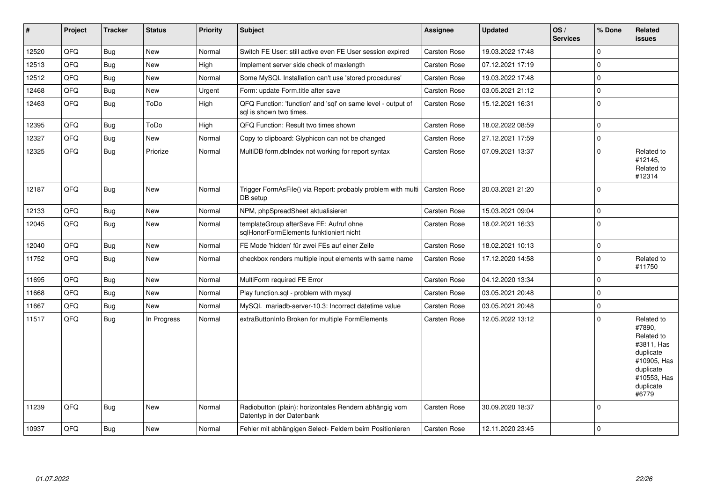| $\vert$ # | Project | <b>Tracker</b> | <b>Status</b> | <b>Priority</b> | <b>Subject</b>                                                                          | <b>Assignee</b>     | <b>Updated</b>   | OS/<br><b>Services</b> | % Done      | Related<br><b>issues</b>                                                                                                       |
|-----------|---------|----------------|---------------|-----------------|-----------------------------------------------------------------------------------------|---------------------|------------------|------------------------|-------------|--------------------------------------------------------------------------------------------------------------------------------|
| 12520     | QFQ     | Bug            | New           | Normal          | Switch FE User: still active even FE User session expired                               | Carsten Rose        | 19.03.2022 17:48 |                        | $\Omega$    |                                                                                                                                |
| 12513     | QFQ     | Bug            | <b>New</b>    | High            | Implement server side check of maxlength                                                | <b>Carsten Rose</b> | 07.12.2021 17:19 |                        | $\mathbf 0$ |                                                                                                                                |
| 12512     | QFQ     | Bug            | <b>New</b>    | Normal          | Some MySQL Installation can't use 'stored procedures'                                   | Carsten Rose        | 19.03.2022 17:48 |                        | $\mathbf 0$ |                                                                                                                                |
| 12468     | QFQ     | <b>Bug</b>     | <b>New</b>    | Urgent          | Form: update Form.title after save                                                      | Carsten Rose        | 03.05.2021 21:12 |                        | $\pmb{0}$   |                                                                                                                                |
| 12463     | QFQ     | <b>Bug</b>     | ToDo          | High            | QFQ Function: 'function' and 'sql' on same level - output of<br>sal is shown two times. | Carsten Rose        | 15.12.2021 16:31 |                        | $\mathbf 0$ |                                                                                                                                |
| 12395     | QFQ     | <b>Bug</b>     | ToDo          | High            | QFQ Function: Result two times shown                                                    | Carsten Rose        | 18.02.2022 08:59 |                        | $\mathbf 0$ |                                                                                                                                |
| 12327     | QFQ     | Bug            | New           | Normal          | Copy to clipboard: Glyphicon can not be changed                                         | Carsten Rose        | 27.12.2021 17:59 |                        | $\pmb{0}$   |                                                                                                                                |
| 12325     | QFQ     | Bug            | Priorize      | Normal          | MultiDB form.dbIndex not working for report syntax                                      | Carsten Rose        | 07.09.2021 13:37 |                        | $\mathbf 0$ | Related to<br>#12145,<br>Related to<br>#12314                                                                                  |
| 12187     | QFQ     | Bug            | <b>New</b>    | Normal          | Trigger FormAsFile() via Report: probably problem with multi<br>DB setup                | <b>Carsten Rose</b> | 20.03.2021 21:20 |                        | $\mathbf 0$ |                                                                                                                                |
| 12133     | QFQ     | <b>Bug</b>     | <b>New</b>    | Normal          | NPM, phpSpreadSheet aktualisieren                                                       | Carsten Rose        | 15.03.2021 09:04 |                        | $\mathbf 0$ |                                                                                                                                |
| 12045     | QFQ     | <b>Bug</b>     | <b>New</b>    | Normal          | templateGroup afterSave FE: Aufruf ohne<br>sqlHonorFormElements funktioniert nicht      | Carsten Rose        | 18.02.2021 16:33 |                        | $\mathbf 0$ |                                                                                                                                |
| 12040     | QFQ     | <b>Bug</b>     | <b>New</b>    | Normal          | FE Mode 'hidden' für zwei FEs auf einer Zeile                                           | Carsten Rose        | 18.02.2021 10:13 |                        | $\pmb{0}$   |                                                                                                                                |
| 11752     | QFQ     | <b>Bug</b>     | New           | Normal          | checkbox renders multiple input elements with same name                                 | Carsten Rose        | 17.12.2020 14:58 |                        | $\mathbf 0$ | Related to<br>#11750                                                                                                           |
| 11695     | QFQ     | <b>Bug</b>     | <b>New</b>    | Normal          | MultiForm required FE Error                                                             | Carsten Rose        | 04.12.2020 13:34 |                        | $\mathbf 0$ |                                                                                                                                |
| 11668     | QFQ     | <b>Bug</b>     | <b>New</b>    | Normal          | Play function.sql - problem with mysql                                                  | Carsten Rose        | 03.05.2021 20:48 |                        | $\pmb{0}$   |                                                                                                                                |
| 11667     | QFQ     | <b>Bug</b>     | New           | Normal          | MySQL mariadb-server-10.3: Incorrect datetime value                                     | Carsten Rose        | 03.05.2021 20:48 |                        | $\pmb{0}$   |                                                                                                                                |
| 11517     | QFQ     | <b>Bug</b>     | In Progress   | Normal          | extraButtonInfo Broken for multiple FormElements                                        | Carsten Rose        | 12.05.2022 13:12 |                        | $\Omega$    | Related to<br>#7890.<br>Related to<br>#3811, Has<br>duplicate<br>#10905, Has<br>duplicate<br>#10553, Has<br>duplicate<br>#6779 |
| 11239     | QFQ     | <b>Bug</b>     | New           | Normal          | Radiobutton (plain): horizontales Rendern abhängig vom<br>Datentyp in der Datenbank     | Carsten Rose        | 30.09.2020 18:37 |                        | $\mathbf 0$ |                                                                                                                                |
| 10937     | QFQ     | Bug            | <b>New</b>    | Normal          | Fehler mit abhängigen Select- Feldern beim Positionieren                                | Carsten Rose        | 12.11.2020 23:45 |                        | $\mathbf 0$ |                                                                                                                                |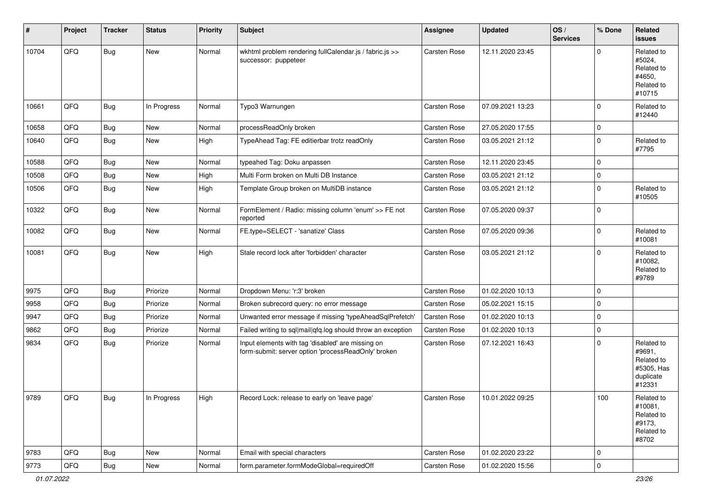| #     | Project        | <b>Tracker</b> | <b>Status</b> | <b>Priority</b> | Subject                                                                                                  | <b>Assignee</b>     | <b>Updated</b>   | OS/<br><b>Services</b> | % Done      | Related<br>issues                                                       |
|-------|----------------|----------------|---------------|-----------------|----------------------------------------------------------------------------------------------------------|---------------------|------------------|------------------------|-------------|-------------------------------------------------------------------------|
| 10704 | QFQ            | Bug            | <b>New</b>    | Normal          | wkhtml problem rendering fullCalendar.js / fabric.js >><br>successor: puppeteer                          | <b>Carsten Rose</b> | 12.11.2020 23:45 |                        | $\Omega$    | Related to<br>#5024,<br>Related to<br>#4650,<br>Related to<br>#10715    |
| 10661 | QFQ            | Bug            | In Progress   | Normal          | Typo3 Warnungen                                                                                          | <b>Carsten Rose</b> | 07.09.2021 13:23 |                        | $\Omega$    | Related to<br>#12440                                                    |
| 10658 | QFQ            | Bug            | <b>New</b>    | Normal          | processReadOnly broken                                                                                   | Carsten Rose        | 27.05.2020 17:55 |                        | 0           |                                                                         |
| 10640 | QFQ            | Bug            | <b>New</b>    | High            | TypeAhead Tag: FE editierbar trotz readOnly                                                              | Carsten Rose        | 03.05.2021 21:12 |                        | $\Omega$    | Related to<br>#7795                                                     |
| 10588 | QFQ            | <b>Bug</b>     | <b>New</b>    | Normal          | typeahed Tag: Doku anpassen                                                                              | <b>Carsten Rose</b> | 12.11.2020 23:45 |                        | $\Omega$    |                                                                         |
| 10508 | QFQ            | Bug            | <b>New</b>    | High            | Multi Form broken on Multi DB Instance                                                                   | Carsten Rose        | 03.05.2021 21:12 |                        | 0           |                                                                         |
| 10506 | QFQ            | Bug            | <b>New</b>    | High            | Template Group broken on MultiDB instance                                                                | Carsten Rose        | 03.05.2021 21:12 |                        | $\Omega$    | Related to<br>#10505                                                    |
| 10322 | QFQ            | <b>Bug</b>     | <b>New</b>    | Normal          | FormElement / Radio: missing column 'enum' >> FE not<br>reported                                         | Carsten Rose        | 07.05.2020 09:37 |                        | $\Omega$    |                                                                         |
| 10082 | QFQ            | Bug            | New           | Normal          | FE.type=SELECT - 'sanatize' Class                                                                        | Carsten Rose        | 07.05.2020 09:36 |                        | $\Omega$    | Related to<br>#10081                                                    |
| 10081 | QFQ            | Bug            | <b>New</b>    | High            | Stale record lock after 'forbidden' character                                                            | <b>Carsten Rose</b> | 03.05.2021 21:12 |                        | $\Omega$    | Related to<br>#10082,<br>Related to<br>#9789                            |
| 9975  | QFQ            | <b>Bug</b>     | Priorize      | Normal          | Dropdown Menu: 'r:3' broken                                                                              | Carsten Rose        | 01.02.2020 10:13 |                        | $\Omega$    |                                                                         |
| 9958  | QFQ            | <b>Bug</b>     | Priorize      | Normal          | Broken subrecord query: no error message                                                                 | Carsten Rose        | 05.02.2021 15:15 |                        | $\Omega$    |                                                                         |
| 9947  | QFQ            | <b>Bug</b>     | Priorize      | Normal          | Unwanted error message if missing 'typeAheadSqlPrefetch'                                                 | Carsten Rose        | 01.02.2020 10:13 |                        | $\Omega$    |                                                                         |
| 9862  | QFQ            | <b>Bug</b>     | Priorize      | Normal          | Failed writing to sql mail qfq.log should throw an exception                                             | Carsten Rose        | 01.02.2020 10:13 |                        | $\mathbf 0$ |                                                                         |
| 9834  | QFQ            | <b>Bug</b>     | Priorize      | Normal          | Input elements with tag 'disabled' are missing on<br>form-submit: server option 'processReadOnly' broken | Carsten Rose        | 07.12.2021 16:43 |                        | $\Omega$    | Related to<br>#9691,<br>Related to<br>#5305, Has<br>duplicate<br>#12331 |
| 9789  | $\mathsf{QFQ}$ | Bug            | In Progress   | High            | Record Lock: release to early on 'leave page'                                                            | Carsten Rose        | 10.01.2022 09:25 |                        | 100         | Related to<br>#10081,<br>Related to<br>#9173,<br>Related to<br>#8702    |
| 9783  | QFQ            | Bug            | New           | Normal          | Email with special characters                                                                            | Carsten Rose        | 01.02.2020 23:22 |                        | 0           |                                                                         |
| 9773  | QFQ            | Bug            | New           | Normal          | form.parameter.formModeGlobal=requiredOff                                                                | Carsten Rose        | 01.02.2020 15:56 |                        | $\pmb{0}$   |                                                                         |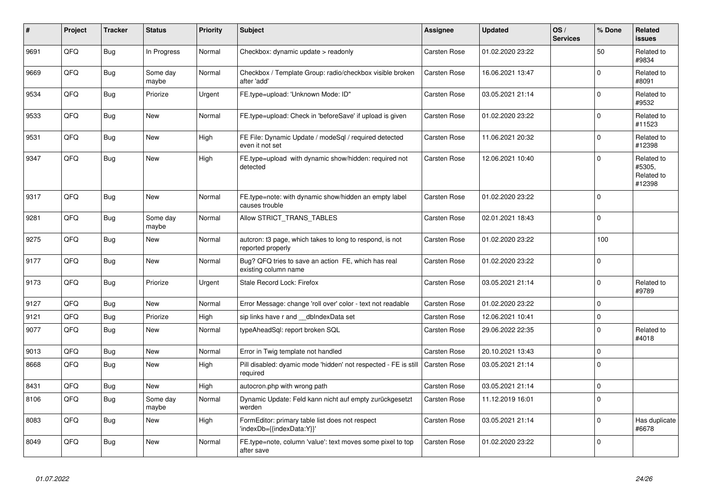| #    | Project | <b>Tracker</b> | <b>Status</b>     | <b>Priority</b> | <b>Subject</b>                                                                | Assignee     | <b>Updated</b>   | OS/<br><b>Services</b> | % Done   | Related<br><b>issues</b>                     |
|------|---------|----------------|-------------------|-----------------|-------------------------------------------------------------------------------|--------------|------------------|------------------------|----------|----------------------------------------------|
| 9691 | QFQ     | Bug            | In Progress       | Normal          | Checkbox: dynamic update > readonly                                           | Carsten Rose | 01.02.2020 23:22 |                        | 50       | Related to<br>#9834                          |
| 9669 | QFQ     | Bug            | Some day<br>maybe | Normal          | Checkbox / Template Group: radio/checkbox visible broken<br>after 'add'       | Carsten Rose | 16.06.2021 13:47 |                        | $\Omega$ | Related to<br>#8091                          |
| 9534 | QFQ     | Bug            | Priorize          | Urgent          | FE.type=upload: 'Unknown Mode: ID"                                            | Carsten Rose | 03.05.2021 21:14 |                        | $\Omega$ | Related to<br>#9532                          |
| 9533 | QFQ     | <b>Bug</b>     | New               | Normal          | FE.type=upload: Check in 'beforeSave' if upload is given                      | Carsten Rose | 01.02.2020 23:22 |                        | $\Omega$ | Related to<br>#11523                         |
| 9531 | QFQ     | <b>Bug</b>     | <b>New</b>        | High            | FE File: Dynamic Update / modeSgl / required detected<br>even it not set      | Carsten Rose | 11.06.2021 20:32 |                        | $\Omega$ | Related to<br>#12398                         |
| 9347 | QFQ     | Bug            | New               | High            | FE.type=upload with dynamic show/hidden: required not<br>detected             | Carsten Rose | 12.06.2021 10:40 |                        | $\Omega$ | Related to<br>#5305.<br>Related to<br>#12398 |
| 9317 | QFQ     | Bug            | <b>New</b>        | Normal          | FE.type=note: with dynamic show/hidden an empty label<br>causes trouble       | Carsten Rose | 01.02.2020 23:22 |                        | $\Omega$ |                                              |
| 9281 | QFQ     | Bug            | Some day<br>maybe | Normal          | Allow STRICT_TRANS_TABLES                                                     | Carsten Rose | 02.01.2021 18:43 |                        | $\Omega$ |                                              |
| 9275 | QFQ     | Bug            | New               | Normal          | auteron: t3 page, which takes to long to respond, is not<br>reported properly | Carsten Rose | 01.02.2020 23:22 |                        | 100      |                                              |
| 9177 | QFQ     | <b>Bug</b>     | New               | Normal          | Bug? QFQ tries to save an action FE, which has real<br>existing column name   | Carsten Rose | 01.02.2020 23:22 |                        | $\Omega$ |                                              |
| 9173 | QFQ     | <b>Bug</b>     | Priorize          | Urgent          | Stale Record Lock: Firefox                                                    | Carsten Rose | 03.05.2021 21:14 |                        | $\Omega$ | Related to<br>#9789                          |
| 9127 | QFQ     | <b>Bug</b>     | <b>New</b>        | Normal          | Error Message: change 'roll over' color - text not readable                   | Carsten Rose | 01.02.2020 23:22 |                        | $\Omega$ |                                              |
| 9121 | QFQ     | Bug            | Priorize          | High            | sip links have r and __dbIndexData set                                        | Carsten Rose | 12.06.2021 10:41 |                        | $\Omega$ |                                              |
| 9077 | QFQ     | <b>Bug</b>     | New               | Normal          | typeAheadSgl: report broken SQL                                               | Carsten Rose | 29.06.2022 22:35 |                        | $\Omega$ | Related to<br>#4018                          |
| 9013 | QFQ     | <b>Bug</b>     | New               | Normal          | Error in Twig template not handled                                            | Carsten Rose | 20.10.2021 13:43 |                        | $\Omega$ |                                              |
| 8668 | QFQ     | Bug            | <b>New</b>        | High            | Pill disabled: dyamic mode 'hidden' not respected - FE is still<br>required   | Carsten Rose | 03.05.2021 21:14 |                        | $\Omega$ |                                              |
| 8431 | QFQ     | <b>Bug</b>     | New               | High            | autocron.php with wrong path                                                  | Carsten Rose | 03.05.2021 21:14 |                        | $\Omega$ |                                              |
| 8106 | QFQ     | <b>Bug</b>     | Some day<br>maybe | Normal          | Dynamic Update: Feld kann nicht auf empty zurückgesetzt<br>werden             | Carsten Rose | 11.12.2019 16:01 |                        | $\Omega$ |                                              |
| 8083 | QFQ     | <b>Bug</b>     | New               | High            | FormEditor: primary table list does not respect<br>'indexDb={{indexData:Y}}'  | Carsten Rose | 03.05.2021 21:14 |                        | $\Omega$ | Has duplicate<br>#6678                       |
| 8049 | QFQ     | Bug            | New               | Normal          | FE.type=note, column 'value': text moves some pixel to top<br>after save      | Carsten Rose | 01.02.2020 23:22 |                        | $\Omega$ |                                              |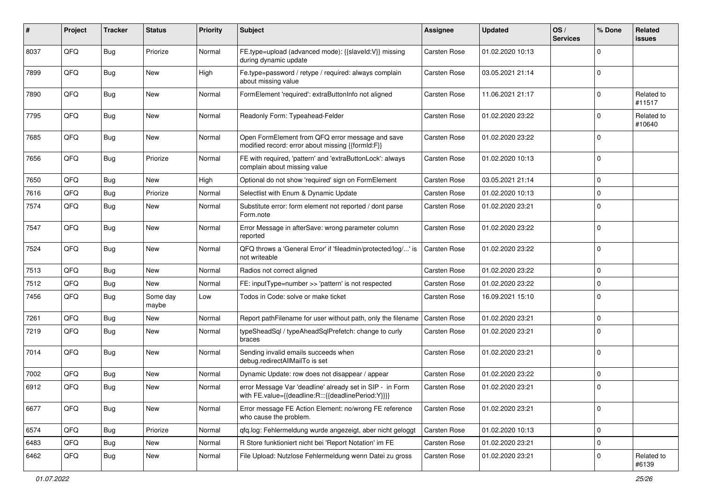| #    | Project | <b>Tracker</b> | <b>Status</b>     | <b>Priority</b> | <b>Subject</b>                                                                                                   | <b>Assignee</b>     | <b>Updated</b>   | OS/<br><b>Services</b> | % Done      | Related<br>issues    |
|------|---------|----------------|-------------------|-----------------|------------------------------------------------------------------------------------------------------------------|---------------------|------------------|------------------------|-------------|----------------------|
| 8037 | QFQ     | Bug            | Priorize          | Normal          | FE.type=upload (advanced mode): {{slaveId:V}} missing<br>during dynamic update                                   | <b>Carsten Rose</b> | 01.02.2020 10:13 |                        | $\Omega$    |                      |
| 7899 | QFQ     | Bug            | <b>New</b>        | High            | Fe.type=password / retype / required: always complain<br>about missing value                                     | Carsten Rose        | 03.05.2021 21:14 |                        | 0           |                      |
| 7890 | QFQ     | <b>Bug</b>     | <b>New</b>        | Normal          | FormElement 'required': extraButtonInfo not aligned                                                              | Carsten Rose        | 11.06.2021 21:17 |                        | 0           | Related to<br>#11517 |
| 7795 | QFQ     | <b>Bug</b>     | <b>New</b>        | Normal          | Readonly Form: Typeahead-Felder                                                                                  | Carsten Rose        | 01.02.2020 23:22 |                        | 0           | Related to<br>#10640 |
| 7685 | QFQ     | <b>Bug</b>     | <b>New</b>        | Normal          | Open FormElement from QFQ error message and save<br>modified record: error about missing {{formId:F}}            | Carsten Rose        | 01.02.2020 23:22 |                        | $\Omega$    |                      |
| 7656 | QFQ     | <b>Bug</b>     | Priorize          | Normal          | FE with required, 'pattern' and 'extraButtonLock': always<br>complain about missing value                        | Carsten Rose        | 01.02.2020 10:13 |                        | $\Omega$    |                      |
| 7650 | QFQ     | <b>Bug</b>     | <b>New</b>        | High            | Optional do not show 'required' sign on FormElement                                                              | Carsten Rose        | 03.05.2021 21:14 |                        | $\mathbf 0$ |                      |
| 7616 | QFQ     | <b>Bug</b>     | Priorize          | Normal          | Selectlist with Enum & Dynamic Update                                                                            | Carsten Rose        | 01.02.2020 10:13 |                        | $\mathbf 0$ |                      |
| 7574 | QFQ     | <b>Bug</b>     | <b>New</b>        | Normal          | Substitute error: form element not reported / dont parse<br>Form.note                                            | Carsten Rose        | 01.02.2020 23:21 |                        | $\Omega$    |                      |
| 7547 | QFQ     | <b>Bug</b>     | <b>New</b>        | Normal          | Error Message in afterSave: wrong parameter column<br>reported                                                   | Carsten Rose        | 01.02.2020 23:22 |                        | $\Omega$    |                      |
| 7524 | QFQ     | Bug            | <b>New</b>        | Normal          | QFQ throws a 'General Error' if 'fileadmin/protected/log/' is<br>not writeable                                   | Carsten Rose        | 01.02.2020 23:22 |                        | $\Omega$    |                      |
| 7513 | QFQ     | Bug            | <b>New</b>        | Normal          | Radios not correct aligned                                                                                       | Carsten Rose        | 01.02.2020 23:22 |                        | $\mathbf 0$ |                      |
| 7512 | QFQ     | <b>Bug</b>     | <b>New</b>        | Normal          | FE: inputType=number >> 'pattern' is not respected                                                               | Carsten Rose        | 01.02.2020 23:22 |                        | $\Omega$    |                      |
| 7456 | QFQ     | <b>Bug</b>     | Some day<br>maybe | Low             | Todos in Code: solve or make ticket                                                                              | Carsten Rose        | 16.09.2021 15:10 |                        | $\Omega$    |                      |
| 7261 | QFQ     | <b>Bug</b>     | <b>New</b>        | Normal          | Report pathFilename for user without path, only the filename                                                     | Carsten Rose        | 01.02.2020 23:21 |                        | $\mathbf 0$ |                      |
| 7219 | QFQ     | Bug            | <b>New</b>        | Normal          | typeSheadSql / typeAheadSqlPrefetch: change to curly<br>braces                                                   | Carsten Rose        | 01.02.2020 23:21 |                        | 0           |                      |
| 7014 | QFQ     | Bug            | <b>New</b>        | Normal          | Sending invalid emails succeeds when<br>debug.redirectAllMailTo is set                                           | Carsten Rose        | 01.02.2020 23:21 |                        | $\mathbf 0$ |                      |
| 7002 | QFQ     | <b>Bug</b>     | <b>New</b>        | Normal          | Dynamic Update: row does not disappear / appear                                                                  | Carsten Rose        | 01.02.2020 23:22 |                        | $\Omega$    |                      |
| 6912 | QFQ     | Bug            | <b>New</b>        | Normal          | error Message Var 'deadline' already set in SIP - in Form<br>with FE.value={{deadline:R:::{{deadlinePeriod:Y}}}} | Carsten Rose        | 01.02.2020 23:21 |                        | 0           |                      |
| 6677 | QFQ     | Bug            | New               | Normal          | Error message FE Action Element: no/wrong FE reference<br>who cause the problem.                                 | Carsten Rose        | 01.02.2020 23:21 |                        | $\mathbf 0$ |                      |
| 6574 | QFQ     | <b>Bug</b>     | Priorize          | Normal          | qfq.log: Fehlermeldung wurde angezeigt, aber nicht geloggt                                                       | Carsten Rose        | 01.02.2020 10:13 |                        | 0           |                      |
| 6483 | QFQ     | Bug            | New               | Normal          | R Store funktioniert nicht bei 'Report Notation' im FE                                                           | Carsten Rose        | 01.02.2020 23:21 |                        | $\mathbf 0$ |                      |
| 6462 | QFQ     | <b>Bug</b>     | New               | Normal          | File Upload: Nutzlose Fehlermeldung wenn Datei zu gross                                                          | Carsten Rose        | 01.02.2020 23:21 |                        | 0           | Related to<br>#6139  |